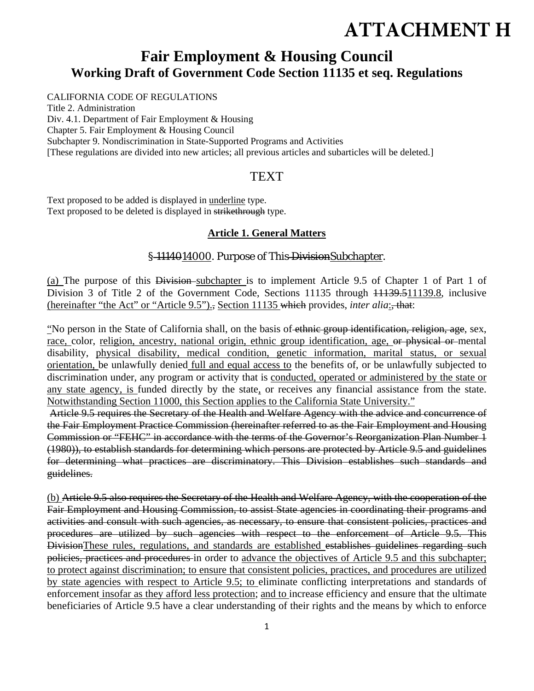# **ATTACHMENT H**

## **Fair Employment & Housing Council Working Draft of Government Code Section 11135 et seq. Regulations**

### CALIFORNIA CODE OF REGULATIONS

Title 2. Administration Div. 4.1. Department of Fair Employment & Housing Chapter 5. Fair Employment & Housing Council Subchapter 9. Nondiscrimination in State-Supported Programs and Activities [These regulations are divided into new articles; all previous articles and subarticles will be deleted.]

## TEXT

Text proposed to be added is displayed in underline type. Text proposed to be deleted is displayed in strikethrough type.

## **Article 1. General Matters**

## § 1114014000. Purpose of This-DivisionSubchapter.

(a) The purpose of this Division subchapter is to implement Article 9.5 of Chapter 1 of Part 1 of Division 3 of Title 2 of the Government Code, Sections 11135 through 11139.511139.8, inclusive (hereinafter "the Act" or "Article 9.5")., Section 11135 which provides, *inter alia*:, that:

"No person in the State of California shall, on the basis of ethnic group identification, religion, age, sex, race, color, religion, ancestry, national origin, ethnic group identification, age, or physical or mental disability, physical disability, medical condition, genetic information, marital status, or sexual orientation, be unlawfully denied full and equal access to the benefits of, or be unlawfully subjected to discrimination under, any program or activity that is conducted, operated or administered by the state or any state agency, is funded directly by the state, or receives any financial assistance from the state. Notwithstanding Section 11000, this Section applies to the California State University."

 Article 9.5 requires the Secretary of the Health and Welfare Agency with the advice and concurrence of the Fair Employment Practice Commission (hereinafter referred to as the Fair Employment and Housing Commission or "FEHC" in accordance with the terms of the Governor's Reorganization Plan Number 1 (1980)), to establish standards for determining which persons are protected by Article 9.5 and guidelines for determining what practices are discriminatory. This Division establishes such standards and guidelines.

(b) Article 9.5 also requires the Secretary of the Health and Welfare Agency, with the cooperation of the Fair Employment and Housing Commission, to assist State agencies in coordinating their programs and activities and consult with such agencies, as necessary, to ensure that consistent policies, practices and procedures are utilized by such agencies with respect to the enforcement of Article 9.5. This DivisionThese rules, regulations, and standards are established establishes guidelines regarding such policies, practices and procedures in order to advance the objectives of Article 9.5 and this subchapter; to protect against discrimination; to ensure that consistent policies, practices, and procedures are utilized by state agencies with respect to Article 9.5; to eliminate conflicting interpretations and standards of enforcement insofar as they afford less protection; and to increase efficiency and ensure that the ultimate beneficiaries of Article 9.5 have a clear understanding of their rights and the means by which to enforce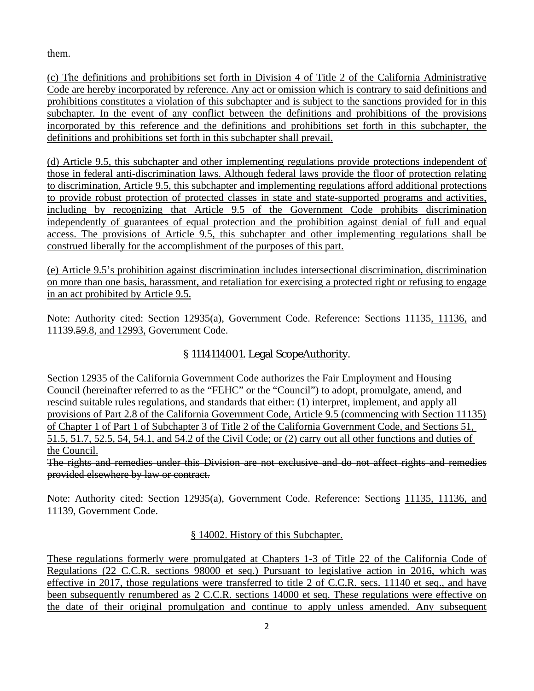them.

(c) The definitions and prohibitions set forth in Division 4 of Title 2 of the California Administrative Code are hereby incorporated by reference. Any act or omission which is contrary to said definitions and prohibitions constitutes a violation of this subchapter and is subject to the sanctions provided for in this subchapter. In the event of any conflict between the definitions and prohibitions of the provisions incorporated by this reference and the definitions and prohibitions set forth in this subchapter, the definitions and prohibitions set forth in this subchapter shall prevail.

(d) Article 9.5, this subchapter and other implementing regulations provide protections independent of those in federal anti-discrimination laws. Although federal laws provide the floor of protection relating to discrimination, Article 9.5, this subchapter and implementing regulations afford additional protections to provide robust protection of protected classes in state and state-supported programs and activities, including by recognizing that Article 9.5 of the Government Code prohibits discrimination independently of guarantees of equal protection and the prohibition against denial of full and equal access. The provisions of Article 9.5, this subchapter and other implementing regulations shall be construed liberally for the accomplishment of the purposes of this part.

(e) Article 9.5's prohibition against discrimination includes intersectional discrimination, discrimination on more than one basis, harassment, and retaliation for exercising a protected right or refusing to engage in an act prohibited by Article 9.5.

Note: Authority cited: Section 12935(a), Government Code. Reference: Sections 11135, 11136, and 11139.59.8, and 12993, Government Code.

## § 1114114001. Legal ScopeAuthority.

Section 12935 of the California Government Code authorizes the Fair Employment and Housing Council (hereinafter referred to as the "FEHC" or the "Council") to adopt, promulgate, amend, and rescind suitable rules regulations, and standards that either: (1) interpret, implement, and apply all provisions of Part 2.8 of the California Government Code, Article 9.5 (commencing with Section 11135) of Chapter 1 of Part 1 of Subchapter 3 of Title 2 of the California Government Code, and Sections 51, 51.5, 51.7, 52.5, 54, 54.1, and 54.2 of the Civil Code; or (2) carry out all other functions and duties of the Council.

The rights and remedies under this Division are not exclusive and do not affect rights and remedies provided elsewhere by law or contract.

Note: Authority cited: Section 12935(a), Government Code. Reference: Sections 11135, 11136, and 11139, Government Code.

## § 14002. History of this Subchapter.

These regulations formerly were promulgated at Chapters 1-3 of Title 22 of the California Code of Regulations (22 C.C.R. sections 98000 et seq.) Pursuant to legislative action in 2016, which was effective in 2017, those regulations were transferred to title 2 of C.C.R. secs. 11140 et seq., and have been subsequently renumbered as 2 C.C.R. sections 14000 et seq. These regulations were effective on the date of their original promulgation and continue to apply unless amended. Any subsequent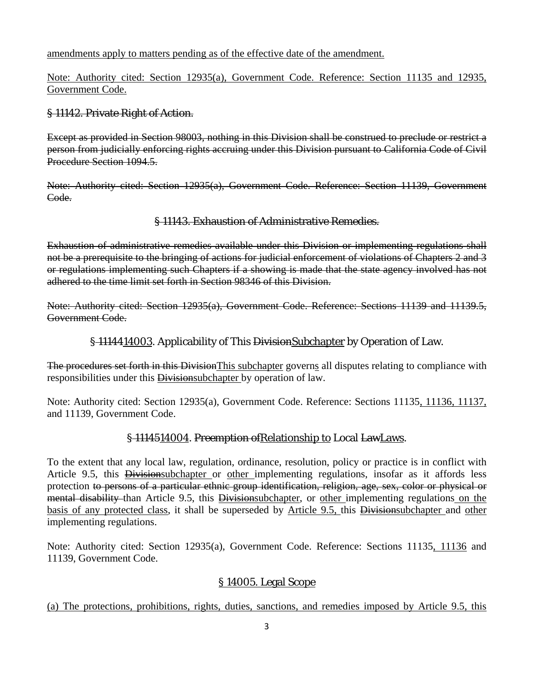amendments apply to matters pending as of the effective date of the amendment.

Note: Authority cited: Section 12935(a), Government Code. Reference: Section 11135 and 12935, Government Code.

## § 11142. Private Right of Action.

Except as provided in Section 98003, nothing in this Division shall be construed to preclude or restrict a person from judicially enforcing rights accruing under this Division pursuant to California Code of Civil Procedure Section 1094.5.

Note: Authority cited: Section 12935(a), Government Code. Reference: Section 11139, Government Code.

### § 11143. Exhaustion of Administrative Remedies.

Exhaustion of administrative remedies available under this Division or implementing regulations shall not be a prerequisite to the bringing of actions for judicial enforcement of violations of Chapters 2 and 3 or regulations implementing such Chapters if a showing is made that the state agency involved has not adhered to the time limit set forth in Section 98346 of this Division.

Note: Authority cited: Section 12935(a), Government Code. Reference: Sections 11139 and 11139.5, Government Code.

§ 1114414003. Applicability of This Division Subchapter by Operation of Law.

The procedures set forth in this DivisionThis subchapter governs all disputes relating to compliance with responsibilities under this Divisionsubchapter by operation of law.

Note: Authority cited: Section 12935(a), Government Code. Reference: Sections 11135, 11136, 11137, and 11139, Government Code.

## § 1114514004. Preemption of Relationship to Local LawLaws.

To the extent that any local law, regulation, ordinance, resolution, policy or practice is in conflict with Article 9.5, this Divisionsubchapter or other implementing regulations, insofar as it affords less protection to persons of a particular ethnic group identification, religion, age, sex, color or physical or mental disability than Article 9.5, this Divisionsubchapter, or other implementing regulations on the basis of any protected class, it shall be superseded by Article 9.5, this Divisionsubchapter and other implementing regulations.

Note: Authority cited: Section 12935(a), Government Code. Reference: Sections 11135, 11136 and 11139, Government Code.

## § 14005. Legal Scope

(a) The protections, prohibitions, rights, duties, sanctions, and remedies imposed by Article 9.5, this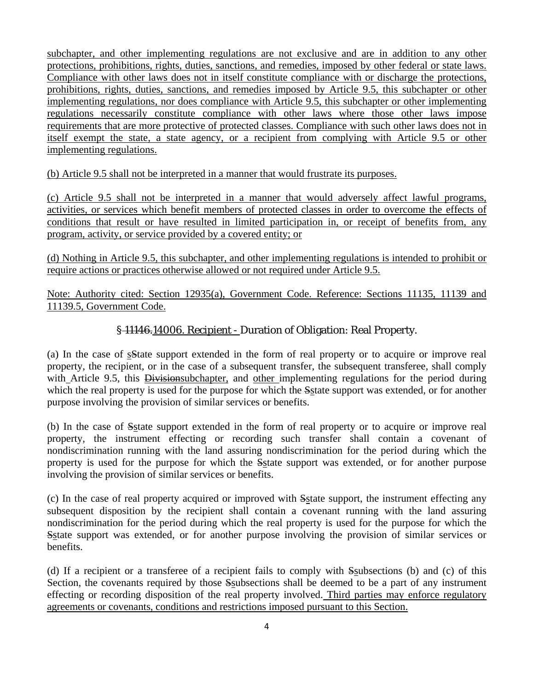subchapter, and other implementing regulations are not exclusive and are in addition to any other protections, prohibitions, rights, duties, sanctions, and remedies, imposed by other federal or state laws. Compliance with other laws does not in itself constitute compliance with or discharge the protections, prohibitions, rights, duties, sanctions, and remedies imposed by Article 9.5, this subchapter or other implementing regulations, nor does compliance with Article 9.5, this subchapter or other implementing regulations necessarily constitute compliance with other laws where those other laws impose requirements that are more protective of protected classes. Compliance with such other laws does not in itself exempt the state, a state agency, or a recipient from complying with Article 9.5 or other implementing regulations.

(b) Article 9.5 shall not be interpreted in a manner that would frustrate its purposes.

(c) Article 9.5 shall not be interpreted in a manner that would adversely affect lawful programs, activities, or services which benefit members of protected classes in order to overcome the effects of conditions that result or have resulted in limited participation in, or receipt of benefits from, any program, activity, or service provided by a covered entity; or

(d) Nothing in Article 9.5, this subchapter, and other implementing regulations is intended to prohibit or require actions or practices otherwise allowed or not required under Article 9.5.

Note: Authority cited: Section 12935(a), Government Code. Reference: Sections 11135, 11139 and 11139.5, Government Code.

## § 11146.14006. Recipient - Duration of Obligation: Real Property.

(a) In the case of sState support extended in the form of real property or to acquire or improve real property, the recipient, or in the case of a subsequent transfer, the subsequent transferee, shall comply with Article 9.5, this Divisionsubchapter, and other implementing regulations for the period during which the real property is used for the purpose for which the Sstate support was extended, or for another purpose involving the provision of similar services or benefits.

(b) In the case of Sstate support extended in the form of real property or to acquire or improve real property, the instrument effecting or recording such transfer shall contain a covenant of nondiscrimination running with the land assuring nondiscrimination for the period during which the property is used for the purpose for which the Sstate support was extended, or for another purpose involving the provision of similar services or benefits.

(c) In the case of real property acquired or improved with Sstate support, the instrument effecting any subsequent disposition by the recipient shall contain a covenant running with the land assuring nondiscrimination for the period during which the real property is used for the purpose for which the Sstate support was extended, or for another purpose involving the provision of similar services or benefits.

(d) If a recipient or a transferee of a recipient fails to comply with Ssubsections (b) and (c) of this Section, the covenants required by those Ssubsections shall be deemed to be a part of any instrument effecting or recording disposition of the real property involved. Third parties may enforce regulatory agreements or covenants, conditions and restrictions imposed pursuant to this Section.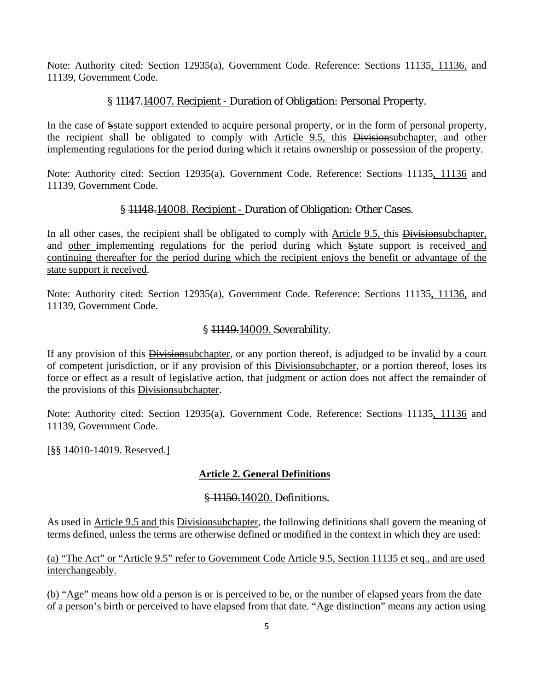Note: Authority cited: Section 12935(a), Government Code. Reference: Sections 11135, 11136, and 11139, Government Code.

## § 11147.14007. Recipient - Duration of Obligation: Personal Property.

In the case of Sstate support extended to acquire personal property, or in the form of personal property, the recipient shall be obligated to comply with Article 9.5, this Divisionsubchapter, and other implementing regulations for the period during which it retains ownership or possession of the property.

Note: Authority cited: Section 12935(a), Government Code. Reference: Sections 11135, 11136 and 11139, Government Code.

### § 11148.14008. Recipient - Duration of Obligation: Other Cases.

In all other cases, the recipient shall be obligated to comply with Article 9.5, this Divisionsubchapter, and other implementing regulations for the period during which Sstate support is received and continuing thereafter for the period during which the recipient enjoys the benefit or advantage of the state support it received.

Note: Authority cited: Section 12935(a), Government Code. Reference: Sections 11135, 11136, and 11139, Government Code.

### § 11149.14009. Severability.

If any provision of this **Divisionsubchapter**, or any portion thereof, is adjudged to be invalid by a court of competent jurisdiction, or if any provision of this Divisionsubchapter, or a portion thereof, loses its force or effect as a result of legislative action, that judgment or action does not affect the remainder of the provisions of this Divisionsubchapter.

Note: Authority cited: Section 12935(a), Government Code. Reference: Sections 11135, 11136 and 11139, Government Code.

### [§§ 14010-14019. Reserved.]

## **Article 2. General Definitions**

### § 11150.14020. Definitions.

As used in Article 9.5 and this Division subchapter, the following definitions shall govern the meaning of terms defined, unless the terms are otherwise defined or modified in the context in which they are used:

(a) "The Act" or "Article 9.5" refer to Government Code Article 9.5, Section 11135 et seq., and are used interchangeably.

(b) "Age" means how old a person is or is perceived to be, or the number of elapsed years from the date of a person's birth or perceived to have elapsed from that date. "Age distinction" means any action using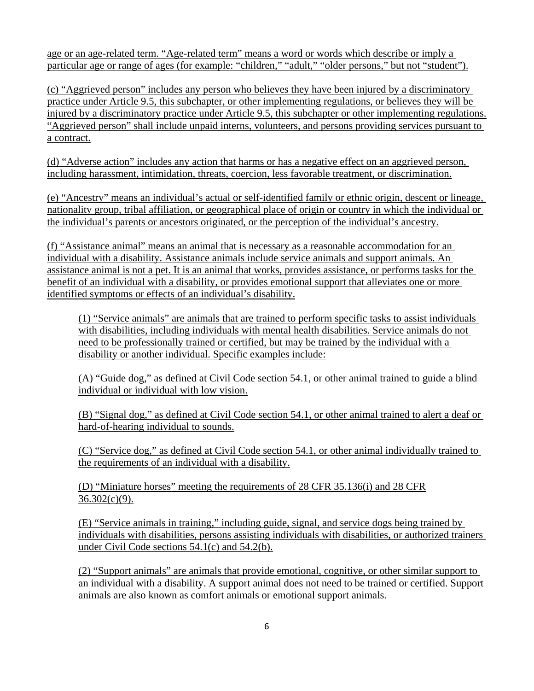age or an age-related term. "Age-related term" means a word or words which describe or imply a particular age or range of ages (for example: "children," "adult," "older persons," but not "student").

(c) "Aggrieved person" includes any person who believes they have been injured by a discriminatory practice under Article 9.5, this subchapter, or other implementing regulations, or believes they will be injured by a discriminatory practice under Article 9.5, this subchapter or other implementing regulations. "Aggrieved person" shall include unpaid interns, volunteers, and persons providing services pursuant to a contract.

(d) "Adverse action" includes any action that harms or has a negative effect on an aggrieved person, including harassment, intimidation, threats, coercion, less favorable treatment, or discrimination.

(e) "Ancestry" means an individual's actual or self-identified family or ethnic origin, descent or lineage, nationality group, tribal affiliation, or geographical place of origin or country in which the individual or the individual's parents or ancestors originated, or the perception of the individual's ancestry.

(f) "Assistance animal" means an animal that is necessary as a reasonable accommodation for an individual with a disability. Assistance animals include service animals and support animals. An assistance animal is not a pet. It is an animal that works, provides assistance, or performs tasks for the benefit of an individual with a disability, or provides emotional support that alleviates one or more identified symptoms or effects of an individual's disability.

(1) "Service animals" are animals that are trained to perform specific tasks to assist individuals with disabilities, including individuals with mental health disabilities. Service animals do not need to be professionally trained or certified, but may be trained by the individual with a disability or another individual. Specific examples include:

(A) "Guide dog," as defined at Civil Code section 54.1, or other animal trained to guide a blind individual or individual with low vision.

(B) "Signal dog," as defined at Civil Code section 54.1, or other animal trained to alert a deaf or hard-of-hearing individual to sounds.

(C) "Service dog," as defined at Civil Code section 54.1, or other animal individually trained to the requirements of an individual with a disability.

(D) "Miniature horses" meeting the requirements of 28 CFR 35.136(i) and 28 CFR  $36.302(c)(9)$ .

(E) "Service animals in training," including guide, signal, and service dogs being trained by individuals with disabilities, persons assisting individuals with disabilities, or authorized trainers under Civil Code sections 54.1(c) and 54.2(b).

(2) "Support animals" are animals that provide emotional, cognitive, or other similar support to an individual with a disability. A support animal does not need to be trained or certified. Support animals are also known as comfort animals or emotional support animals.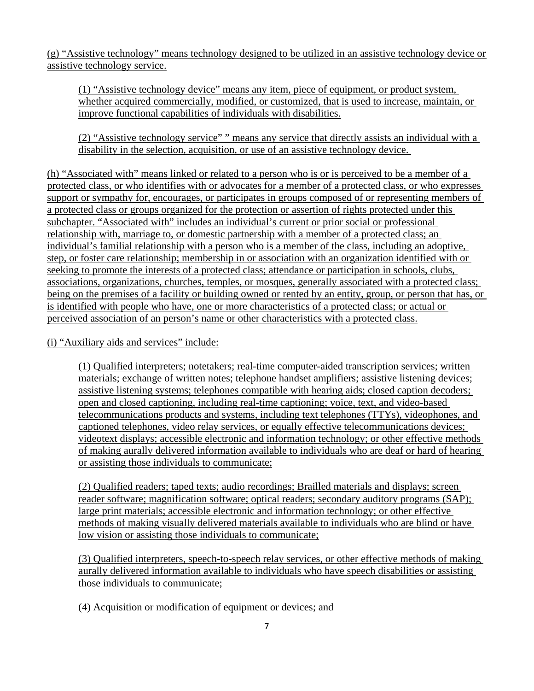(g) "Assistive technology" means technology designed to be utilized in an assistive technology device or assistive technology service.

(1) "Assistive technology device" means any item, piece of equipment, or product system, whether acquired commercially, modified, or customized, that is used to increase, maintain, or improve functional capabilities of individuals with disabilities.

(2) "Assistive technology service" " means any service that directly assists an individual with a disability in the selection, acquisition, or use of an assistive technology device.

(h) "Associated with" means linked or related to a person who is or is perceived to be a member of a protected class, or who identifies with or advocates for a member of a protected class, or who expresses support or sympathy for, encourages, or participates in groups composed of or representing members of a protected class or groups organized for the protection or assertion of rights protected under this subchapter. "Associated with" includes an individual's current or prior social or professional relationship with, marriage to, or domestic partnership with a member of a protected class; an individual's familial relationship with a person who is a member of the class, including an adoptive, step, or foster care relationship; membership in or association with an organization identified with or seeking to promote the interests of a protected class; attendance or participation in schools, clubs, associations, organizations, churches, temples, or mosques, generally associated with a protected class; being on the premises of a facility or building owned or rented by an entity, group, or person that has, or is identified with people who have, one or more characteristics of a protected class; or actual or perceived association of an person's name or other characteristics with a protected class.

(i) "Auxiliary aids and services" include:

(1) Qualified interpreters; notetakers; real-time computer-aided transcription services; written materials; exchange of written notes; telephone handset amplifiers; assistive listening devices; assistive listening systems; telephones compatible with hearing aids; closed caption decoders; open and closed captioning, including real-time captioning; voice, text, and video-based telecommunications products and systems, including text telephones (TTYs), videophones, and captioned telephones, video relay services, or equally effective telecommunications devices; videotext displays; accessible electronic and information technology; or other effective methods of making aurally delivered information available to individuals who are deaf or hard of hearing or assisting those individuals to communicate;

(2) Qualified readers; taped texts; audio recordings; Brailled materials and displays; screen reader software; magnification software; optical readers; secondary auditory programs (SAP); large print materials; accessible electronic and information technology; or other effective methods of making visually delivered materials available to individuals who are blind or have low vision or assisting those individuals to communicate;

(3) Qualified interpreters, speech-to-speech relay services, or other effective methods of making aurally delivered information available to individuals who have speech disabilities or assisting those individuals to communicate;

(4) Acquisition or modification of equipment or devices; and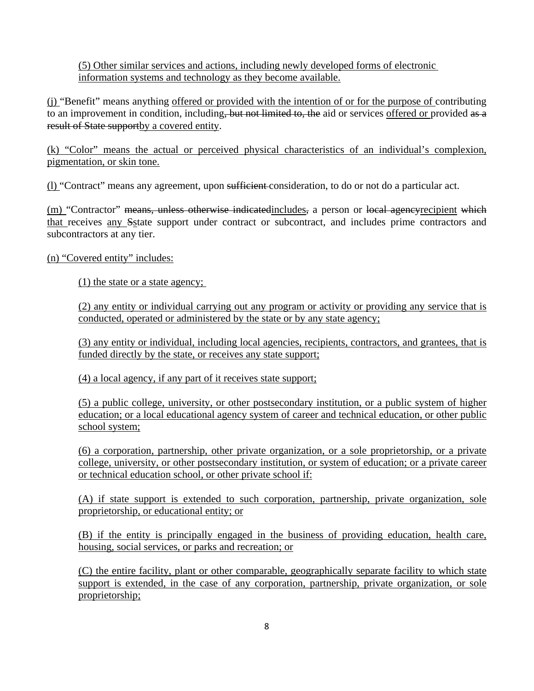(5) Other similar services and actions, including newly developed forms of electronic information systems and technology as they become available.

(j) "Benefit" means anything offered or provided with the intention of or for the purpose of contributing to an improvement in condition, including, but not limited to, the aid or services offered or provided as a result of State supportby a covered entity.

(k) "Color" means the actual or perceived physical characteristics of an individual's complexion, pigmentation, or skin tone.

(l) "Contract" means any agreement, upon sufficient consideration, to do or not do a particular act.

(m) "Contractor" means, unless otherwise indicatedincludes, a person or local agencyrecipient which that receives any Sstate support under contract or subcontract, and includes prime contractors and subcontractors at any tier.

(n) "Covered entity" includes:

(1) the state or a state agency;

(2) any entity or individual carrying out any program or activity or providing any service that is conducted, operated or administered by the state or by any state agency;

(3) any entity or individual, including local agencies, recipients, contractors, and grantees, that is funded directly by the state, or receives any state support;

(4) a local agency, if any part of it receives state support;

(5) a public college, university, or other postsecondary institution, or a public system of higher education; or a local educational agency system of career and technical education, or other public school system;

(6) a corporation, partnership, other private organization, or a sole proprietorship, or a private college, university, or other postsecondary institution, or system of education; or a private career or technical education school, or other private school if:

(A) if state support is extended to such corporation, partnership, private organization, sole proprietorship, or educational entity; or

(B) if the entity is principally engaged in the business of providing education, health care, housing, social services, or parks and recreation; or

(C) the entire facility, plant or other comparable, geographically separate facility to which state support is extended, in the case of any corporation, partnership, private organization, or sole proprietorship;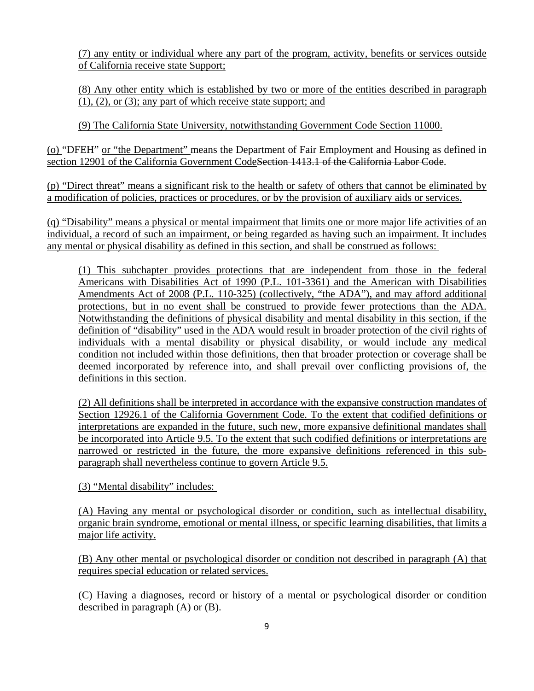(7) any entity or individual where any part of the program, activity, benefits or services outside of California receive state Support;

(8) Any other entity which is established by two or more of the entities described in paragraph (1), (2), or (3); any part of which receive state support; and

(9) The California State University, notwithstanding Government Code Section 11000.

(o) "DFEH" or "the Department" means the Department of Fair Employment and Housing as defined in section 12901 of the California Government CodeSection 1413.1 of the California Labor Code.

(p) "Direct threat" means a significant risk to the health or safety of others that cannot be eliminated by a modification of policies, practices or procedures, or by the provision of auxiliary aids or services.

(q) "Disability" means a physical or mental impairment that limits one or more major life activities of an individual, a record of such an impairment, or being regarded as having such an impairment. It includes any mental or physical disability as defined in this section, and shall be construed as follows:

(1) This subchapter provides protections that are independent from those in the federal Americans with Disabilities Act of 1990 (P.L. 101-3361) and the American with Disabilities Amendments Act of 2008 (P.L. 110-325) (collectively, "the ADA"), and may afford additional protections, but in no event shall be construed to provide fewer protections than the ADA. Notwithstanding the definitions of physical disability and mental disability in this section, if the definition of "disability" used in the ADA would result in broader protection of the civil rights of individuals with a mental disability or physical disability, or would include any medical condition not included within those definitions, then that broader protection or coverage shall be deemed incorporated by reference into, and shall prevail over conflicting provisions of, the definitions in this section.

(2) All definitions shall be interpreted in accordance with the expansive construction mandates of Section 12926.1 of the California Government Code. To the extent that codified definitions or interpretations are expanded in the future, such new, more expansive definitional mandates shall be incorporated into Article 9.5. To the extent that such codified definitions or interpretations are narrowed or restricted in the future, the more expansive definitions referenced in this subparagraph shall nevertheless continue to govern Article 9.5.

(3) "Mental disability" includes:

(A) Having any mental or psychological disorder or condition, such as intellectual disability, organic brain syndrome, emotional or mental illness, or specific learning disabilities, that limits a major life activity.

(B) Any other mental or psychological disorder or condition not described in paragraph (A) that requires special education or related services.

(C) Having a diagnoses, record or history of a mental or psychological disorder or condition described in paragraph (A) or (B).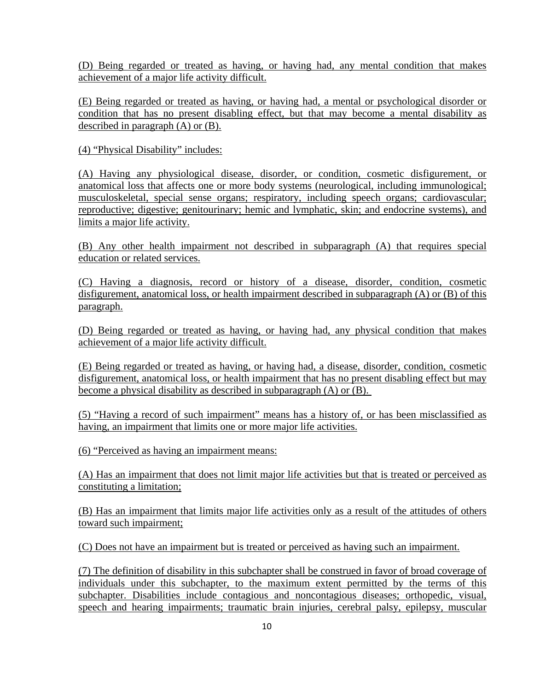(D) Being regarded or treated as having, or having had, any mental condition that makes achievement of a major life activity difficult.

(E) Being regarded or treated as having, or having had, a mental or psychological disorder or condition that has no present disabling effect, but that may become a mental disability as described in paragraph (A) or (B).

(4) "Physical Disability" includes:

(A) Having any physiological disease, disorder, or condition, cosmetic disfigurement, or anatomical loss that affects one or more body systems (neurological, including immunological; musculoskeletal, special sense organs; respiratory, including speech organs; cardiovascular; reproductive; digestive; genitourinary; hemic and lymphatic, skin; and endocrine systems), and limits a major life activity.

(B) Any other health impairment not described in subparagraph (A) that requires special education or related services.

(C) Having a diagnosis, record or history of a disease, disorder, condition, cosmetic disfigurement, anatomical loss, or health impairment described in subparagraph (A) or (B) of this paragraph.

(D) Being regarded or treated as having, or having had, any physical condition that makes achievement of a major life activity difficult.

(E) Being regarded or treated as having, or having had, a disease, disorder, condition, cosmetic disfigurement, anatomical loss, or health impairment that has no present disabling effect but may become a physical disability as described in subparagraph (A) or (B).

(5) "Having a record of such impairment" means has a history of, or has been misclassified as having, an impairment that limits one or more major life activities.

(6) "Perceived as having an impairment means:

(A) Has an impairment that does not limit major life activities but that is treated or perceived as constituting a limitation;

(B) Has an impairment that limits major life activities only as a result of the attitudes of others toward such impairment;

(C) Does not have an impairment but is treated or perceived as having such an impairment.

(7) The definition of disability in this subchapter shall be construed in favor of broad coverage of individuals under this subchapter, to the maximum extent permitted by the terms of this subchapter. Disabilities include contagious and noncontagious diseases; orthopedic, visual, speech and hearing impairments; traumatic brain injuries, cerebral palsy, epilepsy, muscular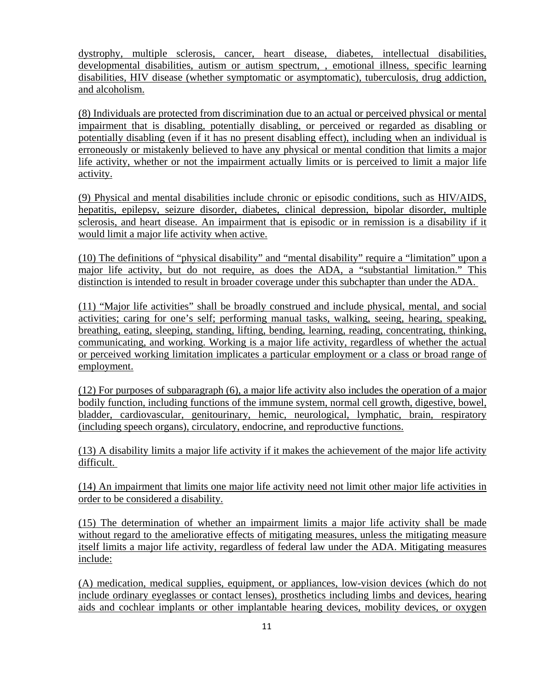dystrophy, multiple sclerosis, cancer, heart disease, diabetes, intellectual disabilities, developmental disabilities, autism or autism spectrum, , emotional illness, specific learning disabilities, HIV disease (whether symptomatic or asymptomatic), tuberculosis, drug addiction, and alcoholism.

(8) Individuals are protected from discrimination due to an actual or perceived physical or mental impairment that is disabling, potentially disabling, or perceived or regarded as disabling or potentially disabling (even if it has no present disabling effect), including when an individual is erroneously or mistakenly believed to have any physical or mental condition that limits a major life activity, whether or not the impairment actually limits or is perceived to limit a major life activity.

(9) Physical and mental disabilities include chronic or episodic conditions, such as HIV/AIDS, hepatitis, epilepsy, seizure disorder, diabetes, clinical depression, bipolar disorder, multiple sclerosis, and heart disease. An impairment that is episodic or in remission is a disability if it would limit a major life activity when active.

(10) The definitions of "physical disability" and "mental disability" require a "limitation" upon a major life activity, but do not require, as does the ADA, a "substantial limitation." This distinction is intended to result in broader coverage under this subchapter than under the ADA.

(11) "Major life activities" shall be broadly construed and include physical, mental, and social activities; caring for one's self; performing manual tasks, walking, seeing, hearing, speaking, breathing, eating, sleeping, standing, lifting, bending, learning, reading, concentrating, thinking, communicating, and working. Working is a major life activity, regardless of whether the actual or perceived working limitation implicates a particular employment or a class or broad range of employment.

(12) For purposes of subparagraph (6), a major life activity also includes the operation of a major bodily function, including functions of the immune system, normal cell growth, digestive, bowel, bladder, cardiovascular, genitourinary, hemic, neurological, lymphatic, brain, respiratory (including speech organs), circulatory, endocrine, and reproductive functions.

(13) A disability limits a major life activity if it makes the achievement of the major life activity difficult.

(14) An impairment that limits one major life activity need not limit other major life activities in order to be considered a disability.

(15) The determination of whether an impairment limits a major life activity shall be made without regard to the ameliorative effects of mitigating measures, unless the mitigating measure itself limits a major life activity, regardless of federal law under the ADA. Mitigating measures include:

(A) medication, medical supplies, equipment, or appliances, low-vision devices (which do not include ordinary eyeglasses or contact lenses), prosthetics including limbs and devices, hearing aids and cochlear implants or other implantable hearing devices, mobility devices, or oxygen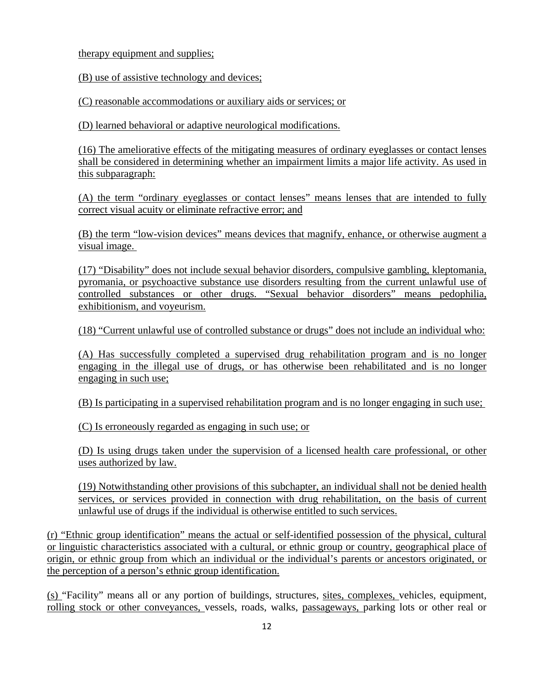therapy equipment and supplies;

(B) use of assistive technology and devices;

(C) reasonable accommodations or auxiliary aids or services; or

(D) learned behavioral or adaptive neurological modifications.

(16) The ameliorative effects of the mitigating measures of ordinary eyeglasses or contact lenses shall be considered in determining whether an impairment limits a major life activity. As used in this subparagraph:

(A) the term "ordinary eyeglasses or contact lenses" means lenses that are intended to fully correct visual acuity or eliminate refractive error; and

(B) the term "low-vision devices" means devices that magnify, enhance, or otherwise augment a visual image.

(17) "Disability" does not include sexual behavior disorders, compulsive gambling, kleptomania, pyromania, or psychoactive substance use disorders resulting from the current unlawful use of controlled substances or other drugs. "Sexual behavior disorders" means pedophilia, exhibitionism, and voyeurism.

(18) "Current unlawful use of controlled substance or drugs" does not include an individual who:

(A) Has successfully completed a supervised drug rehabilitation program and is no longer engaging in the illegal use of drugs, or has otherwise been rehabilitated and is no longer engaging in such use;

(B) Is participating in a supervised rehabilitation program and is no longer engaging in such use;

(C) Is erroneously regarded as engaging in such use; or

(D) Is using drugs taken under the supervision of a licensed health care professional, or other uses authorized by law.

(19) Notwithstanding other provisions of this subchapter, an individual shall not be denied health services, or services provided in connection with drug rehabilitation, on the basis of current unlawful use of drugs if the individual is otherwise entitled to such services.

(r) "Ethnic group identification" means the actual or self-identified possession of the physical, cultural or linguistic characteristics associated with a cultural, or ethnic group or country, geographical place of origin, or ethnic group from which an individual or the individual's parents or ancestors originated, or the perception of a person's ethnic group identification.

(s) "Facility" means all or any portion of buildings, structures, sites, complexes, vehicles, equipment, rolling stock or other conveyances, vessels, roads, walks, passageways, parking lots or other real or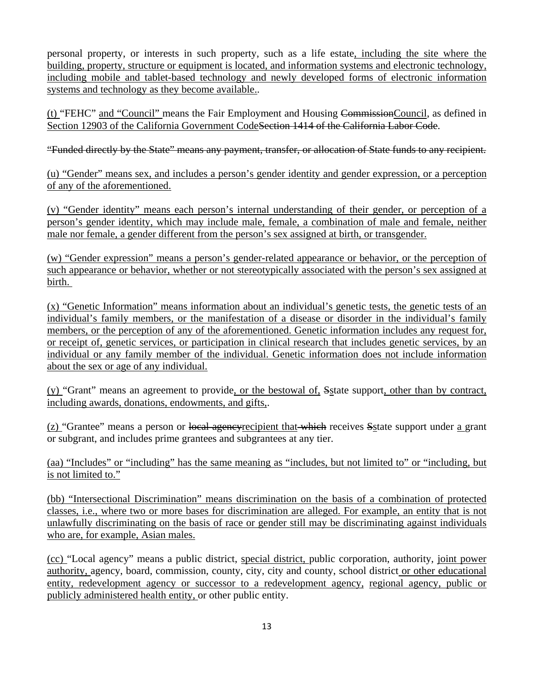personal property, or interests in such property, such as a life estate, including the site where the building, property, structure or equipment is located, and information systems and electronic technology, including mobile and tablet-based technology and newly developed forms of electronic information systems and technology as they become available..

(t) "FEHC" and "Council" means the Fair Employment and Housing CommissionCouncil, as defined in Section 12903 of the California Government CodeSection 1414 of the California Labor Code.

"Funded directly by the State" means any payment, transfer, or allocation of State funds to any recipient.

(u) "Gender" means sex, and includes a person's gender identity and gender expression, or a perception of any of the aforementioned.

(v) "Gender identity" means each person's internal understanding of their gender, or perception of a person's gender identity, which may include male, female, a combination of male and female, neither male nor female, a gender different from the person's sex assigned at birth, or transgender.

(w) "Gender expression" means a person's gender-related appearance or behavior, or the perception of such appearance or behavior, whether or not stereotypically associated with the person's sex assigned at birth.

(x) "Genetic Information" means information about an individual's genetic tests, the genetic tests of an individual's family members, or the manifestation of a disease or disorder in the individual's family members, or the perception of any of the aforementioned. Genetic information includes any request for, or receipt of, genetic services, or participation in clinical research that includes genetic services, by an individual or any family member of the individual. Genetic information does not include information about the sex or age of any individual.

(y) "Grant" means an agreement to provide, or the bestowal of, Sstate support, other than by contract, including awards, donations, endowments, and gifts,.

(z) "Grantee" means a person or local agencyrecipient that which receives Sstate support under a grant or subgrant, and includes prime grantees and subgrantees at any tier.

(aa) "Includes" or "including" has the same meaning as "includes, but not limited to" or "including, but is not limited to."

(bb) "Intersectional Discrimination" means discrimination on the basis of a combination of protected classes, i.e., where two or more bases for discrimination are alleged. For example, an entity that is not unlawfully discriminating on the basis of race or gender still may be discriminating against individuals who are, for example, Asian males.

(cc) "Local agency" means a public district, special district, public corporation, authority, joint power authority, agency, board, commission, county, city, city and county, school district or other educational entity, redevelopment agency or successor to a redevelopment agency, regional agency, public or publicly administered health entity, or other public entity.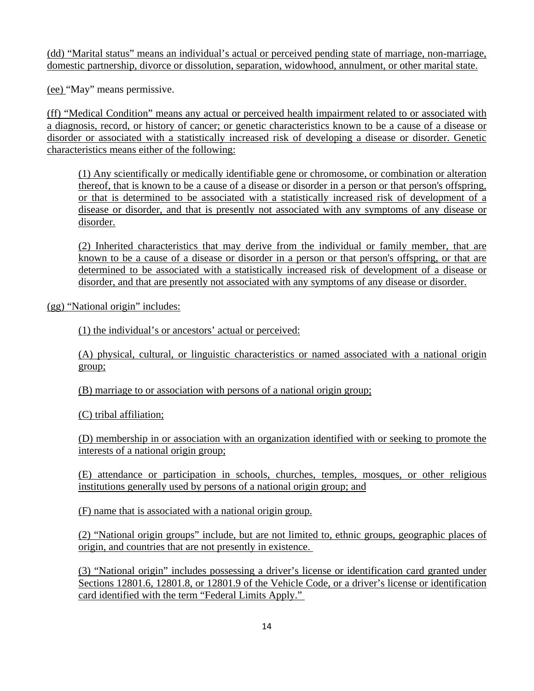(dd) "Marital status" means an individual's actual or perceived pending state of marriage, non-marriage, domestic partnership, divorce or dissolution, separation, widowhood, annulment, or other marital state.

(ee) "May" means permissive.

(ff) "Medical Condition" means any actual or perceived health impairment related to or associated with a diagnosis, record, or history of cancer; or genetic characteristics known to be a cause of a disease or disorder or associated with a statistically increased risk of developing a disease or disorder. Genetic characteristics means either of the following:

(1) Any scientifically or medically identifiable gene or chromosome, or combination or alteration thereof, that is known to be a cause of a disease or disorder in a person or that person's offspring, or that is determined to be associated with a statistically increased risk of development of a disease or disorder, and that is presently not associated with any symptoms of any disease or disorder.

(2) Inherited characteristics that may derive from the individual or family member, that are known to be a cause of a disease or disorder in a person or that person's offspring, or that are determined to be associated with a statistically increased risk of development of a disease or disorder, and that are presently not associated with any symptoms of any disease or disorder.

(gg) "National origin" includes:

(1) the individual's or ancestors' actual or perceived:

(A) physical, cultural, or linguistic characteristics or named associated with a national origin group;

(B) marriage to or association with persons of a national origin group;

(C) tribal affiliation;

(D) membership in or association with an organization identified with or seeking to promote the interests of a national origin group;

(E) attendance or participation in schools, churches, temples, mosques, or other religious institutions generally used by persons of a national origin group; and

(F) name that is associated with a national origin group.

(2) "National origin groups" include, but are not limited to, ethnic groups, geographic places of origin, and countries that are not presently in existence.

(3) "National origin" includes possessing a driver's license or identification card granted under Sections 12801.6, 12801.8, or 12801.9 of the Vehicle Code, or a driver's license or identification card identified with the term "Federal Limits Apply."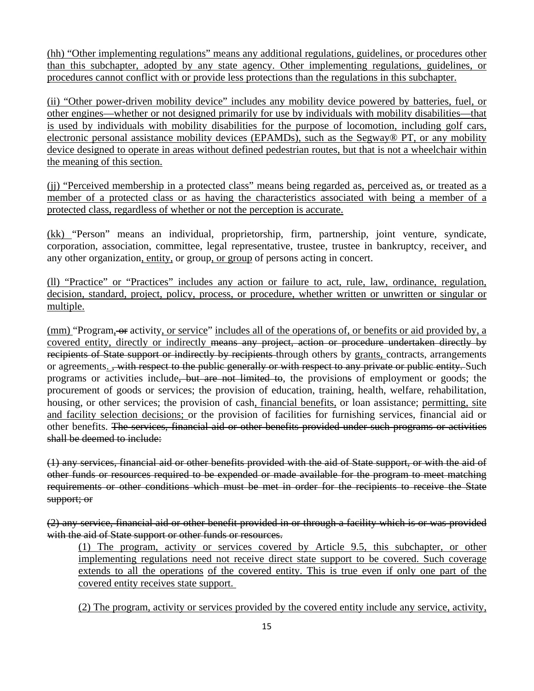(hh) "Other implementing regulations" means any additional regulations, guidelines, or procedures other than this subchapter, adopted by any state agency. Other implementing regulations, guidelines, or procedures cannot conflict with or provide less protections than the regulations in this subchapter.

(ii) "Other power-driven mobility device" includes any mobility device powered by batteries, fuel, or other engines—whether or not designed primarily for use by individuals with mobility disabilities—that is used by individuals with mobility disabilities for the purpose of locomotion, including golf cars, electronic personal assistance mobility devices (EPAMDs), such as the Segway® PT, or any mobility device designed to operate in areas without defined pedestrian routes, but that is not a wheelchair within the meaning of this section.

(jj) "Perceived membership in a protected class" means being regarded as, perceived as, or treated as a member of a protected class or as having the characteristics associated with being a member of a protected class, regardless of whether or not the perception is accurate.

(kk) "Person" means an individual, proprietorship, firm, partnership, joint venture, syndicate, corporation, association, committee, legal representative, trustee, trustee in bankruptcy, receiver, and any other organization, entity, or group, or group of persons acting in concert.

(ll) "Practice" or "Practices" includes any action or failure to act, rule, law, ordinance, regulation, decision, standard, project, policy, process, or procedure, whether written or unwritten or singular or multiple.

(mm) "Program, or activity, or service" includes all of the operations of, or benefits or aid provided by, a covered entity, directly or indirectly means any project, action or procedure undertaken directly by recipients of State support or indirectly by recipients through others by grants, contracts, arrangements or agreements. <del>, with respect to the public generally or with respect to any private or public entity.</del> Such programs or activities include, but are not limited to, the provisions of employment or goods; the procurement of goods or services; the provision of education, training, health, welfare, rehabilitation, housing, or other services; the provision of cash, financial benefits, or loan assistance; permitting, site and facility selection decisions; or the provision of facilities for furnishing services, financial aid or other benefits. The services, financial aid or other benefits provided under such programs or activities shall be deemed to include:

(1) any services, financial aid or other benefits provided with the aid of State support, or with the aid of other funds or resources required to be expended or made available for the program to meet matching requirements or other conditions which must be met in order for the recipients to receive the State support; or

(2) any service, financial aid or other benefit provided in or through a facility which is or was provided with the aid of State support or other funds or resources.

(1) The program, activity or services covered by Article 9.5, this subchapter, or other implementing regulations need not receive direct state support to be covered. Such coverage extends to all the operations of the covered entity. This is true even if only one part of the covered entity receives state support.

(2) The program, activity or services provided by the covered entity include any service, activity,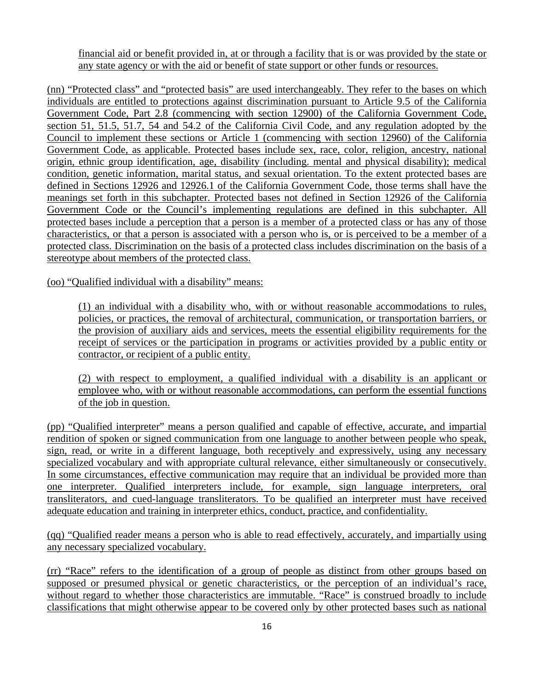financial aid or benefit provided in, at or through a facility that is or was provided by the state or any state agency or with the aid or benefit of state support or other funds or resources.

(nn) "Protected class" and "protected basis" are used interchangeably. They refer to the bases on which individuals are entitled to protections against discrimination pursuant to Article 9.5 of the California Government Code, Part 2.8 (commencing with section 12900) of the California Government Code, section 51, 51.5, 51.7, 54 and 54.2 of the California Civil Code, and any regulation adopted by the Council to implement these sections or Article 1 (commencing with section 12960) of the California Government Code, as applicable. Protected bases include sex, race, color, religion, ancestry, national origin, ethnic group identification, age, disability (including. mental and physical disability); medical condition, genetic information, marital status, and sexual orientation. To the extent protected bases are defined in Sections 12926 and 12926.1 of the California Government Code, those terms shall have the meanings set forth in this subchapter. Protected bases not defined in Section 12926 of the California Government Code or the Council's implementing regulations are defined in this subchapter. All protected bases include a perception that a person is a member of a protected class or has any of those characteristics, or that a person is associated with a person who is, or is perceived to be a member of a protected class. Discrimination on the basis of a protected class includes discrimination on the basis of a stereotype about members of the protected class.

(oo) "Qualified individual with a disability" means:

(1) an individual with a disability who, with or without reasonable accommodations to rules, policies, or practices, the removal of architectural, communication, or transportation barriers, or the provision of auxiliary aids and services, meets the essential eligibility requirements for the receipt of services or the participation in programs or activities provided by a public entity or contractor, or recipient of a public entity.

(2) with respect to employment, a qualified individual with a disability is an applicant or employee who, with or without reasonable accommodations, can perform the essential functions of the job in question.

(pp) "Qualified interpreter" means a person qualified and capable of effective, accurate, and impartial rendition of spoken or signed communication from one language to another between people who speak, sign, read, or write in a different language, both receptively and expressively, using any necessary specialized vocabulary and with appropriate cultural relevance, either simultaneously or consecutively. In some circumstances, effective communication may require that an individual be provided more than one interpreter. Qualified interpreters include, for example, sign language interpreters, oral transliterators, and cued-language transliterators. To be qualified an interpreter must have received adequate education and training in interpreter ethics, conduct, practice, and confidentiality.

(qq) "Qualified reader means a person who is able to read effectively, accurately, and impartially using any necessary specialized vocabulary.

(rr) "Race" refers to the identification of a group of people as distinct from other groups based on supposed or presumed physical or genetic characteristics, or the perception of an individual's race, without regard to whether those characteristics are immutable. "Race" is construed broadly to include classifications that might otherwise appear to be covered only by other protected bases such as national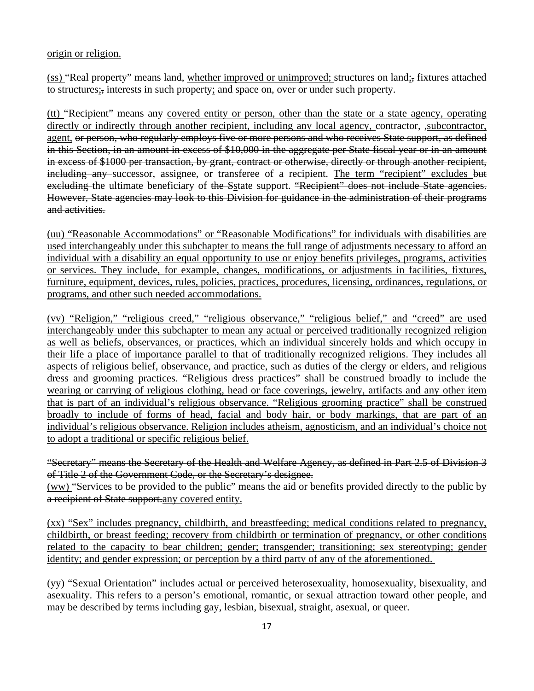origin or religion.

(ss) "Real property" means land, whether improved or unimproved; structures on land;, fixtures attached to structures;, interests in such property; and space on, over or under such property.

(tt) "Recipient" means any covered entity or person, other than the state or a state agency, operating directly or indirectly through another recipient, including any local agency, contractor, ,subcontractor, agent, or person, who regularly employs five or more persons and who receives State support, as defined in this Section, in an amount in excess of \$10,000 in the aggregate per State fiscal year or in an amount in excess of \$1000 per transaction, by grant, contract or otherwise, directly or through another recipient, including any successor, assignee, or transferee of a recipient. The term "recipient" excludes but excluding the ultimate beneficiary of the Sstate support. "Recipient" does not include State agencies. However, State agencies may look to this Division for guidance in the administration of their programs and activities.

(uu) "Reasonable Accommodations" or "Reasonable Modifications" for individuals with disabilities are used interchangeably under this subchapter to means the full range of adjustments necessary to afford an individual with a disability an equal opportunity to use or enjoy benefits privileges, programs, activities or services. They include, for example, changes, modifications, or adjustments in facilities, fixtures, furniture, equipment, devices, rules, policies, practices, procedures, licensing, ordinances, regulations, or programs, and other such needed accommodations.

(vv) "Religion," "religious creed," "religious observance," "religious belief," and "creed" are used interchangeably under this subchapter to mean any actual or perceived traditionally recognized religion as well as beliefs, observances, or practices, which an individual sincerely holds and which occupy in their life a place of importance parallel to that of traditionally recognized religions. They includes all aspects of religious belief, observance, and practice, such as duties of the clergy or elders, and religious dress and grooming practices. "Religious dress practices" shall be construed broadly to include the wearing or carrying of religious clothing, head or face coverings, jewelry, artifacts and any other item that is part of an individual's religious observance. "Religious grooming practice" shall be construed broadly to include of forms of head, facial and body hair, or body markings, that are part of an individual's religious observance. Religion includes atheism, agnosticism, and an individual's choice not to adopt a traditional or specific religious belief.

"Secretary" means the Secretary of the Health and Welfare Agency, as defined in Part 2.5 of Division 3 of Title 2 of the Government Code, or the Secretary's designee. (ww) "Services to be provided to the public" means the aid or benefits provided directly to the public by a recipient of State support.any covered entity.

(xx) "Sex" includes pregnancy, childbirth, and breastfeeding; medical conditions related to pregnancy, childbirth, or breast feeding; recovery from childbirth or termination of pregnancy, or other conditions related to the capacity to bear children; gender; transgender; transitioning; sex stereotyping; gender identity; and gender expression; or perception by a third party of any of the aforementioned.

(yy) "Sexual Orientation" includes actual or perceived heterosexuality, homosexuality, bisexuality, and asexuality. This refers to a person's emotional, romantic, or sexual attraction toward other people, and may be described by terms including gay, lesbian, bisexual, straight, asexual, or queer.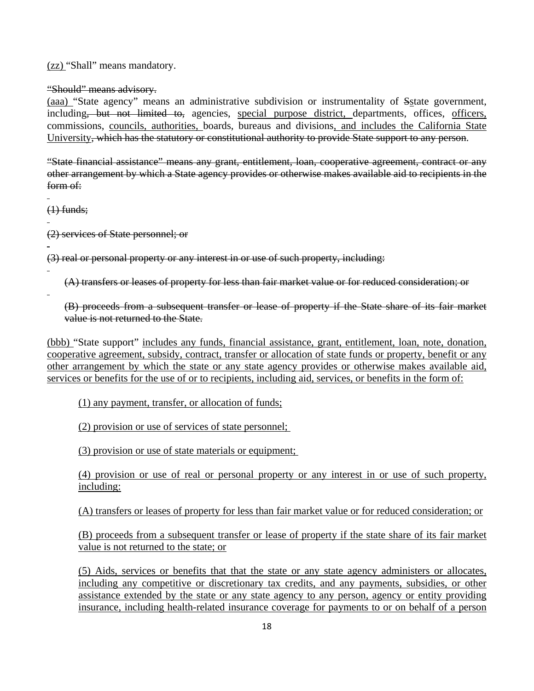(zz) "Shall" means mandatory.

"Should" means advisory.

(aaa) "State agency" means an administrative subdivision or instrumentality of Sstate government, including, but not limited to, agencies, special purpose district, departments, offices, officers, commissions, councils, authorities, boards, bureaus and divisions, and includes the California State University, which has the statutory or constitutional authority to provide State support to any person.

"State financial assistance" means any grant, entitlement, loan, cooperative agreement, contract or any other arrangement by which a State agency provides or otherwise makes available aid to recipients in the form of:

 $\overline{a}$  $(1)$  funds;

 $\overline{a}$ 

 $\overline{a}$ 

 $\overline{a}$ 

 $\overline{a}$ 

(2) services of State personnel; or

(3) real or personal property or any interest in or use of such property, including:

(A) transfers or leases of property for less than fair market value or for reduced consideration; or

(B) proceeds from a subsequent transfer or lease of property if the State share of its fair market value is not returned to the State.

(bbb) "State support" includes any funds, financial assistance, grant, entitlement, loan, note, donation, cooperative agreement, subsidy, contract, transfer or allocation of state funds or property, benefit or any other arrangement by which the state or any state agency provides or otherwise makes available aid, services or benefits for the use of or to recipients, including aid, services, or benefits in the form of:

(1) any payment, transfer, or allocation of funds;

(2) provision or use of services of state personnel;

(3) provision or use of state materials or equipment;

(4) provision or use of real or personal property or any interest in or use of such property, including:

(A) transfers or leases of property for less than fair market value or for reduced consideration; or

(B) proceeds from a subsequent transfer or lease of property if the state share of its fair market value is not returned to the state; or

(5) Aids, services or benefits that that the state or any state agency administers or allocates, including any competitive or discretionary tax credits, and any payments, subsidies, or other assistance extended by the state or any state agency to any person, agency or entity providing insurance, including health-related insurance coverage for payments to or on behalf of a person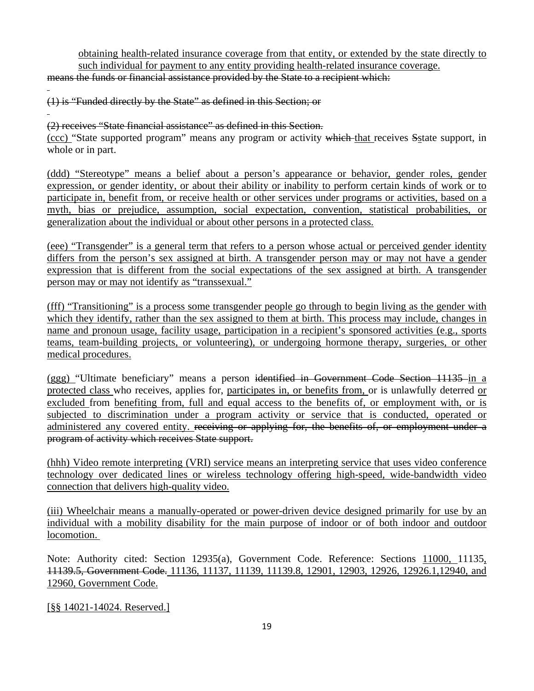obtaining health-related insurance coverage from that entity, or extended by the state directly to such individual for payment to any entity providing health-related insurance coverage.

means the funds or financial assistance provided by the State to a recipient which:

(1) is "Funded directly by the State" as defined in this Section; or

 $\overline{a}$ 

 $\overline{a}$ (2) receives "State financial assistance" as defined in this Section.

(ccc) "State supported program" means any program or activity which that receives Sstate support, in whole or in part.

(ddd) "Stereotype" means a belief about a person's appearance or behavior, gender roles, gender expression, or gender identity, or about their ability or inability to perform certain kinds of work or to participate in, benefit from, or receive health or other services under programs or activities, based on a myth, bias or prejudice, assumption, social expectation, convention, statistical probabilities, or generalization about the individual or about other persons in a protected class.

(eee) "Transgender" is a general term that refers to a person whose actual or perceived gender identity differs from the person's sex assigned at birth. A transgender person may or may not have a gender expression that is different from the social expectations of the sex assigned at birth. A transgender person may or may not identify as "transsexual."

(fff) "Transitioning" is a process some transgender people go through to begin living as the gender with which they identify, rather than the sex assigned to them at birth. This process may include, changes in name and pronoun usage, facility usage, participation in a recipient's sponsored activities (e.g., sports teams, team-building projects, or volunteering), or undergoing hormone therapy, surgeries, or other medical procedures.

(ggg) "Ultimate beneficiary" means a person identified in Government Code Section 11135 in a protected class who receives, applies for, participates in, or benefits from, or is unlawfully deterred or excluded from benefiting from, full and equal access to the benefits of, or employment with, or is subjected to discrimination under a program activity or service that is conducted, operated or administered any covered entity. receiving or applying for, the benefits of, or employment under a program of activity which receives State support.

(hhh) Video remote interpreting (VRI) service means an interpreting service that uses video conference technology over dedicated lines or wireless technology offering high-speed, wide-bandwidth video connection that delivers high-quality video.

(iii) Wheelchair means a manually-operated or power-driven device designed primarily for use by an individual with a mobility disability for the main purpose of indoor or of both indoor and outdoor locomotion.

Note: Authority cited: Section 12935(a), Government Code. Reference: Sections 11000, 11135, 11139.5, Government Code. 11136, 11137, 11139, 11139.8, 12901, 12903, 12926, 12926.1,12940, and 12960, Government Code.

[§§ 14021-14024. Reserved.]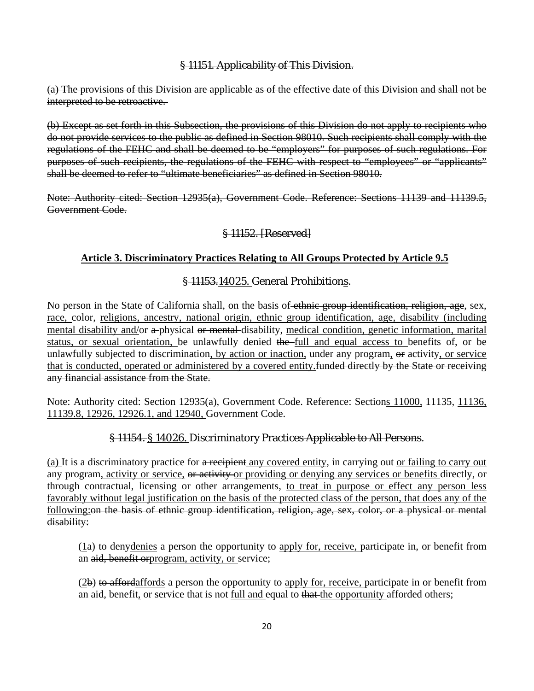### § 11151. Applicability of This Division.

(a) The provisions of this Division are applicable as of the effective date of this Division and shall not be interpreted to be retroactive.

(b) Except as set forth in this Subsection, the provisions of this Division do not apply to recipients who do not provide services to the public as defined in Section 98010. Such recipients shall comply with the regulations of the FEHC and shall be deemed to be "employers" for purposes of such regulations. For purposes of such recipients, the regulations of the FEHC with respect to "employees" or "applicants" shall be deemed to refer to "ultimate beneficiaries" as defined in Section 98010.

Note: Authority cited: Section 12935(a), Government Code. Reference: Sections 11139 and 11139.5, Government Code.

## § 11152. [Reserved]

## **Article 3. Discriminatory Practices Relating to All Groups Protected by Article 9.5**

## § 11153.14025. General Prohibitions.

No person in the State of California shall, on the basis of ethnic group identification, religion, age, sex, race, color, religions, ancestry, national origin, ethnic group identification, age, disability (including mental disability and/or a-physical or mental-disability, medical condition, genetic information, marital status, or sexual orientation, be unlawfully denied the full and equal access to benefits of, or be unlawfully subjected to discrimination, by action or inaction, under any program, or activity, or service that is conducted, operated or administered by a covered entity.funded directly by the State or receiving any financial assistance from the State.

Note: Authority cited: Section 12935(a), Government Code. Reference: Sections 11000, 11135, 11136, 11139.8, 12926, 12926.1, and 12940, Government Code.

## § 11154. § 14026. Discriminatory Practices Applicable to All Persons.

(a) It is a discriminatory practice for a recipient any covered entity, in carrying out or failing to carry out any program, activity or service, or activity or providing or denying any services or benefits directly, or through contractual, licensing or other arrangements, to treat in purpose or effect any person less favorably without legal justification on the basis of the protected class of the person, that does any of the following: on the basis of ethnic group identification, religion, age, sex, color, or a physical or mental disability:

 $(1a)$  to denydenies a person the opportunity to apply for, receive, participate in, or benefit from an aid, benefit orprogram, activity, or service;

(2b) to affordaffords a person the opportunity to apply for, receive, participate in or benefit from an aid, benefit, or service that is not <u>full and equal to that the opportunity</u> afforded others;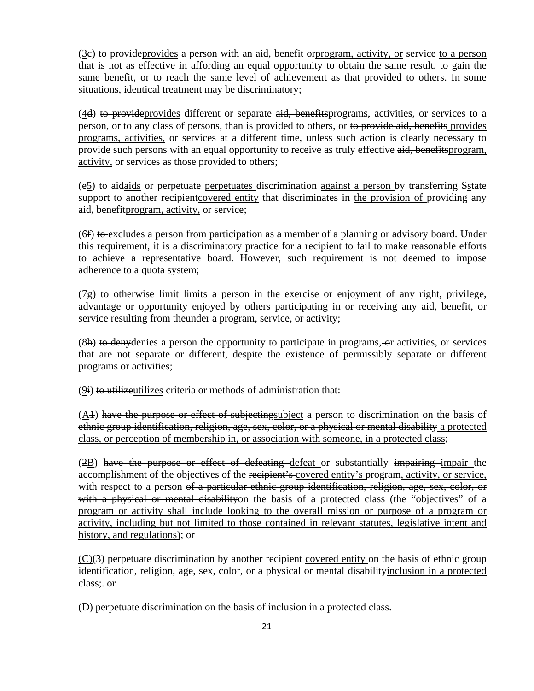(3e) to provideprovides a person with an aid, benefit or program, activity, or service to a person that is not as effective in affording an equal opportunity to obtain the same result, to gain the same benefit, or to reach the same level of achievement as that provided to others. In some situations, identical treatment may be discriminatory;

(4d) to provideprovides different or separate aid, benefitsprograms, activities, or services to a person, or to any class of persons, than is provided to others, or to provide aid, benefits provides programs, activities, or services at a different time, unless such action is clearly necessary to provide such persons with an equal opportunity to receive as truly effective aid, benefitsprogram, activity, or services as those provided to others;

(e5) to aidaids or perpetuate perpetuates discrimination against a person by transferring Sstate support to another recipient covered entity that discriminates in the provision of providing any aid, benefitprogram, activity, or service;

(6f) to excludes a person from participation as a member of a planning or advisory board. Under this requirement, it is a discriminatory practice for a recipient to fail to make reasonable efforts to achieve a representative board. However, such requirement is not deemed to impose adherence to a quota system;

 $(7g)$  to otherwise limit-limits a person in the exercise or enjoyment of any right, privilege, advantage or opportunity enjoyed by others participating in or receiving any aid, benefit, or service resulting from theunder a program, service, or activity;

(8h) to deny denies a person the opportunity to participate in programs, or activities, or services that are not separate or different, despite the existence of permissibly separate or different programs or activities;

 $(9i)$  to utilizeutilizes criteria or methods of administration that:

 $(A<sup>1</sup>)$  have the purpose or effect of subjectingsubject a person to discrimination on the basis of ethnic group identification, religion, age, sex, color, or a physical or mental disability a protected class, or perception of membership in, or association with someone, in a protected class;

(2B) have the purpose or effect of defeating defeat or substantially impairing impair the accomplishment of the objectives of the recipient's covered entity's program, activity, or service, with respect to a person of a particular ethnic group identification, religion, age, sex, color, or with a physical or mental disability on the basis of a protected class (the "objectives" of a program or activity shall include looking to the overall mission or purpose of a program or activity, including but not limited to those contained in relevant statutes, legislative intent and history, and regulations); or

 $(C)(3)$ -perpetuate discrimination by another recipient-covered entity on the basis of ethnic group identification, religion, age, sex, color, or a physical or mental disabilityinclusion in a protected class;. or

(D) perpetuate discrimination on the basis of inclusion in a protected class.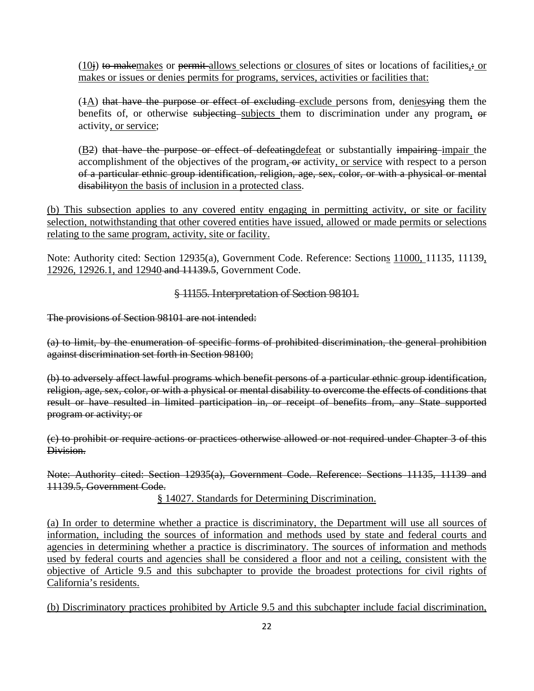$(10)$  to makemakes or permit-allows selections or closures of sites or locations of facilities, or makes or issues or denies permits for programs, services, activities or facilities that:

(4A) that have the purpose or effect of excluding exclude persons from, denies ying them the benefits of, or otherwise subjecting subjects them to discrimination under any program, or activity, or service;

 $(B2)$  that have the purpose or effect of defeating defeat or substantially impairing impair the accomplishment of the objectives of the program, or activity, or service with respect to a person of a particular ethnic group identification, religion, age, sex, color, or with a physical or mental disabilityon the basis of inclusion in a protected class.

(b) This subsection applies to any covered entity engaging in permitting activity, or site or facility selection, notwithstanding that other covered entities have issued, allowed or made permits or selections relating to the same program, activity, site or facility.

Note: Authority cited: Section 12935(a), Government Code. Reference: Sections 11000, 11135, 11139, 12926, 12926.1, and 12940 and 11139.5, Government Code.

§ 11155. Interpretation of Section 98101.

The provisions of Section 98101 are not intended:

(a) to limit, by the enumeration of specific forms of prohibited discrimination, the general prohibition against discrimination set forth in Section 98100;

(b) to adversely affect lawful programs which benefit persons of a particular ethnic group identification, religion, age, sex, color, or with a physical or mental disability to overcome the effects of conditions that result or have resulted in limited participation in, or receipt of benefits from, any State supported program or activity; or

(c) to prohibit or require actions or practices otherwise allowed or not required under Chapter 3 of this Division.

Note: Authority cited: Section 12935(a), Government Code. Reference: Sections 11135, 11139 and 11139.5, Government Code.

§ 14027. Standards for Determining Discrimination.

(a) In order to determine whether a practice is discriminatory, the Department will use all sources of information, including the sources of information and methods used by state and federal courts and agencies in determining whether a practice is discriminatory. The sources of information and methods used by federal courts and agencies shall be considered a floor and not a ceiling, consistent with the objective of Article 9.5 and this subchapter to provide the broadest protections for civil rights of California's residents.

(b) Discriminatory practices prohibited by Article 9.5 and this subchapter include facial discrimination,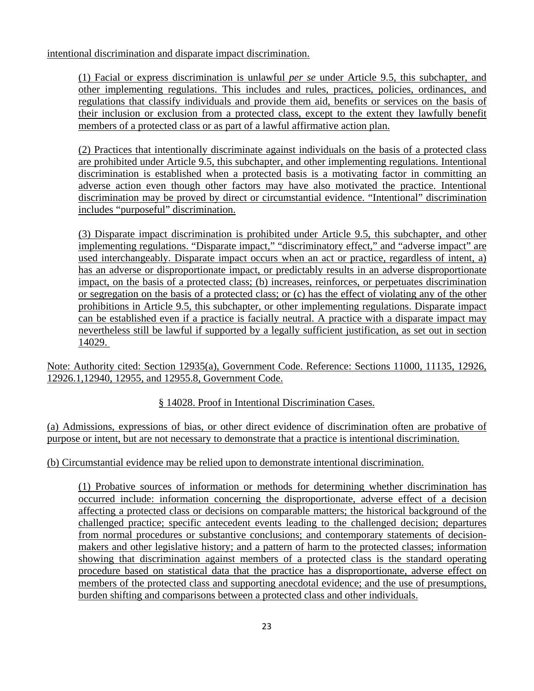intentional discrimination and disparate impact discrimination.

(1) Facial or express discrimination is unlawful *per se* under Article 9.5, this subchapter, and other implementing regulations. This includes and rules, practices, policies, ordinances, and regulations that classify individuals and provide them aid, benefits or services on the basis of their inclusion or exclusion from a protected class, except to the extent they lawfully benefit members of a protected class or as part of a lawful affirmative action plan.

(2) Practices that intentionally discriminate against individuals on the basis of a protected class are prohibited under Article 9.5, this subchapter, and other implementing regulations. Intentional discrimination is established when a protected basis is a motivating factor in committing an adverse action even though other factors may have also motivated the practice. Intentional discrimination may be proved by direct or circumstantial evidence. "Intentional" discrimination includes "purposeful" discrimination.

(3) Disparate impact discrimination is prohibited under Article 9.5, this subchapter, and other implementing regulations. "Disparate impact," "discriminatory effect," and "adverse impact" are used interchangeably. Disparate impact occurs when an act or practice, regardless of intent, a) has an adverse or disproportionate impact, or predictably results in an adverse disproportionate impact, on the basis of a protected class; (b) increases, reinforces, or perpetuates discrimination or segregation on the basis of a protected class; or (c) has the effect of violating any of the other prohibitions in Article 9.5, this subchapter, or other implementing regulations. Disparate impact can be established even if a practice is facially neutral. A practice with a disparate impact may nevertheless still be lawful if supported by a legally sufficient justification, as set out in section 14029.

Note: Authority cited: Section 12935(a), Government Code. Reference: Sections 11000, 11135, 12926, 12926.1,12940, 12955, and 12955.8, Government Code.

## § 14028. Proof in Intentional Discrimination Cases.

(a) Admissions, expressions of bias, or other direct evidence of discrimination often are probative of purpose or intent, but are not necessary to demonstrate that a practice is intentional discrimination.

## (b) Circumstantial evidence may be relied upon to demonstrate intentional discrimination.

(1) Probative sources of information or methods for determining whether discrimination has occurred include: information concerning the disproportionate, adverse effect of a decision affecting a protected class or decisions on comparable matters; the historical background of the challenged practice; specific antecedent events leading to the challenged decision; departures from normal procedures or substantive conclusions; and contemporary statements of decisionmakers and other legislative history; and a pattern of harm to the protected classes; information showing that discrimination against members of a protected class is the standard operating procedure based on statistical data that the practice has a disproportionate, adverse effect on members of the protected class and supporting anecdotal evidence; and the use of presumptions, burden shifting and comparisons between a protected class and other individuals.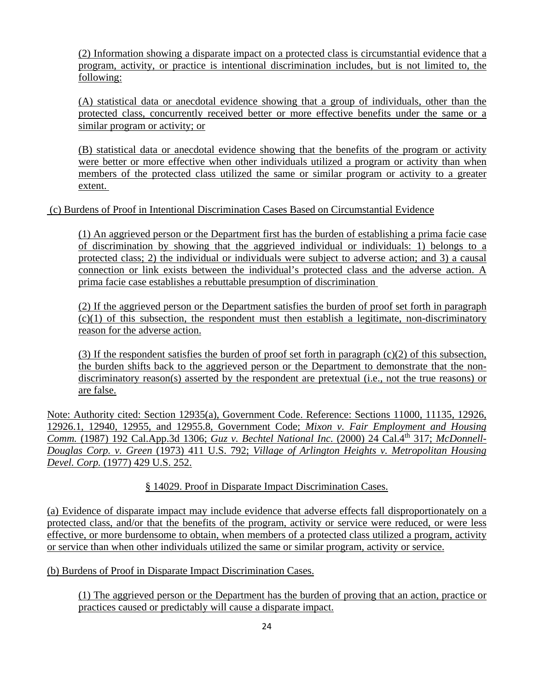(2) Information showing a disparate impact on a protected class is circumstantial evidence that a program, activity, or practice is intentional discrimination includes, but is not limited to, the following:

(A) statistical data or anecdotal evidence showing that a group of individuals, other than the protected class, concurrently received better or more effective benefits under the same or a similar program or activity; or

(B) statistical data or anecdotal evidence showing that the benefits of the program or activity were better or more effective when other individuals utilized a program or activity than when members of the protected class utilized the same or similar program or activity to a greater extent.

(c) Burdens of Proof in Intentional Discrimination Cases Based on Circumstantial Evidence

(1) An aggrieved person or the Department first has the burden of establishing a prima facie case of discrimination by showing that the aggrieved individual or individuals: 1) belongs to a protected class; 2) the individual or individuals were subject to adverse action; and 3) a causal connection or link exists between the individual's protected class and the adverse action. A prima facie case establishes a rebuttable presumption of discrimination

(2) If the aggrieved person or the Department satisfies the burden of proof set forth in paragraph  $(c)(1)$  of this subsection, the respondent must then establish a legitimate, non-discriminatory reason for the adverse action.

(3) If the respondent satisfies the burden of proof set forth in paragraph  $(c)(2)$  of this subsection, the burden shifts back to the aggrieved person or the Department to demonstrate that the nondiscriminatory reason(s) asserted by the respondent are pretextual (i.e., not the true reasons) or are false.

Note: Authority cited: Section 12935(a), Government Code. Reference: Sections 11000, 11135, 12926, 12926.1, 12940, 12955, and 12955.8, Government Code; *Mixon v. Fair Employment and Housing Comm.* (1987) 192 Cal.App.3d 1306; *Guz v. Bechtel National Inc.* (2000) 24 Cal.4th 317; *McDonnell-Douglas Corp. v. Green* (1973) 411 U.S. 792; *Village of Arlington Heights v. Metropolitan Housing Devel. Corp.* (1977) 429 U.S. 252.

## § 14029. Proof in Disparate Impact Discrimination Cases.

(a) Evidence of disparate impact may include evidence that adverse effects fall disproportionately on a protected class, and/or that the benefits of the program, activity or service were reduced, or were less effective, or more burdensome to obtain, when members of a protected class utilized a program, activity or service than when other individuals utilized the same or similar program, activity or service.

(b) Burdens of Proof in Disparate Impact Discrimination Cases.

(1) The aggrieved person or the Department has the burden of proving that an action, practice or practices caused or predictably will cause a disparate impact.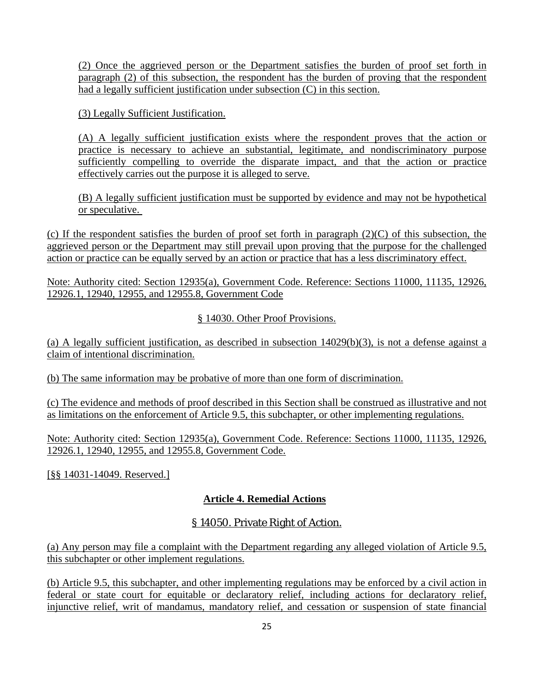(2) Once the aggrieved person or the Department satisfies the burden of proof set forth in paragraph (2) of this subsection, the respondent has the burden of proving that the respondent had a legally sufficient justification under subsection (C) in this section.

(3) Legally Sufficient Justification.

(A) A legally sufficient justification exists where the respondent proves that the action or practice is necessary to achieve an substantial, legitimate, and nondiscriminatory purpose sufficiently compelling to override the disparate impact, and that the action or practice effectively carries out the purpose it is alleged to serve.

(B) A legally sufficient justification must be supported by evidence and may not be hypothetical or speculative.

(c) If the respondent satisfies the burden of proof set forth in paragraph  $(2)(C)$  of this subsection, the aggrieved person or the Department may still prevail upon proving that the purpose for the challenged action or practice can be equally served by an action or practice that has a less discriminatory effect.

Note: Authority cited: Section 12935(a), Government Code. Reference: Sections 11000, 11135, 12926, 12926.1, 12940, 12955, and 12955.8, Government Code

§ 14030. Other Proof Provisions.

(a) A legally sufficient justification, as described in subsection 14029(b)(3), is not a defense against a claim of intentional discrimination.

(b) The same information may be probative of more than one form of discrimination.

(c) The evidence and methods of proof described in this Section shall be construed as illustrative and not as limitations on the enforcement of Article 9.5, this subchapter, or other implementing regulations.

Note: Authority cited: Section 12935(a), Government Code. Reference: Sections 11000, 11135, 12926, 12926.1, 12940, 12955, and 12955.8, Government Code.

[§§ 14031-14049. Reserved.]

## **Article 4. Remedial Actions**

## § 14050. Private Right of Action.

(a) Any person may file a complaint with the Department regarding any alleged violation of Article 9.5, this subchapter or other implement regulations.

(b) Article 9.5, this subchapter, and other implementing regulations may be enforced by a civil action in federal or state court for equitable or declaratory relief, including actions for declaratory relief, injunctive relief, writ of mandamus, mandatory relief, and cessation or suspension of state financial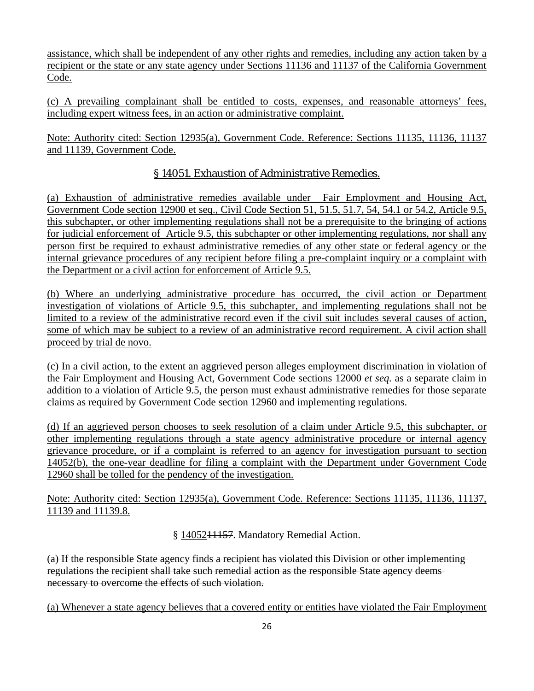assistance, which shall be independent of any other rights and remedies, including any action taken by a recipient or the state or any state agency under Sections 11136 and 11137 of the California Government Code.

(c) A prevailing complainant shall be entitled to costs, expenses, and reasonable attorneys' fees, including expert witness fees, in an action or administrative complaint.

Note: Authority cited: Section 12935(a), Government Code. Reference: Sections 11135, 11136, 11137 and 11139, Government Code.

## § 14051. Exhaustion of Administrative Remedies.

(a) Exhaustion of administrative remedies available under Fair Employment and Housing Act, Government Code section 12900 et seq., Civil Code Section 51, 51.5, 51.7, 54, 54.1 or 54.2, Article 9.5, this subchapter, or other implementing regulations shall not be a prerequisite to the bringing of actions for judicial enforcement of Article 9.5, this subchapter or other implementing regulations, nor shall any person first be required to exhaust administrative remedies of any other state or federal agency or the internal grievance procedures of any recipient before filing a pre-complaint inquiry or a complaint with the Department or a civil action for enforcement of Article 9.5.

(b) Where an underlying administrative procedure has occurred, the civil action or Department investigation of violations of Article 9.5, this subchapter, and implementing regulations shall not be limited to a review of the administrative record even if the civil suit includes several causes of action, some of which may be subject to a review of an administrative record requirement. A civil action shall proceed by trial de novo.

(c) In a civil action, to the extent an aggrieved person alleges employment discrimination in violation of the Fair Employment and Housing Act, Government Code sections 12000 *et seq.* as a separate claim in addition to a violation of Article 9.5, the person must exhaust administrative remedies for those separate claims as required by Government Code section 12960 and implementing regulations.

(d) If an aggrieved person chooses to seek resolution of a claim under Article 9.5, this subchapter, or other implementing regulations through a state agency administrative procedure or internal agency grievance procedure, or if a complaint is referred to an agency for investigation pursuant to section 14052(b), the one-year deadline for filing a complaint with the Department under Government Code 12960 shall be tolled for the pendency of the investigation.

Note: Authority cited: Section 12935(a), Government Code. Reference: Sections 11135, 11136, 11137, 11139 and 11139.8.

§ 1405211157. Mandatory Remedial Action.

(a) If the responsible State agency finds a recipient has violated this Division or other implementing regulations the recipient shall take such remedial action as the responsible State agency deems necessary to overcome the effects of such violation.

(a) Whenever a state agency believes that a covered entity or entities have violated the Fair Employment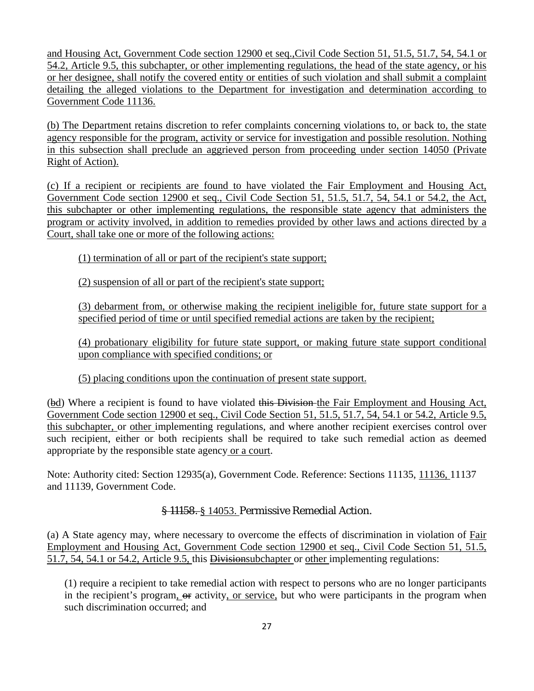and Housing Act, Government Code section 12900 et seq.,Civil Code Section 51, 51.5, 51.7, 54, 54.1 or 54.2, Article 9.5, this subchapter, or other implementing regulations, the head of the state agency, or his or her designee, shall notify the covered entity or entities of such violation and shall submit a complaint detailing the alleged violations to the Department for investigation and determination according to Government Code 11136.

(b) The Department retains discretion to refer complaints concerning violations to, or back to, the state agency responsible for the program, activity or service for investigation and possible resolution. Nothing in this subsection shall preclude an aggrieved person from proceeding under section 14050 (Private Right of Action).

(c) If a recipient or recipients are found to have violated the Fair Employment and Housing Act, Government Code section 12900 et seq., Civil Code Section 51, 51.5, 51.7, 54, 54.1 or 54.2, the Act, this subchapter or other implementing regulations, the responsible state agency that administers the program or activity involved, in addition to remedies provided by other laws and actions directed by a Court, shall take one or more of the following actions:

(1) termination of all or part of the recipient's state support;

(2) suspension of all or part of the recipient's state support;

(3) debarment from, or otherwise making the recipient ineligible for, future state support for a specified period of time or until specified remedial actions are taken by the recipient;

(4) probationary eligibility for future state support, or making future state support conditional upon compliance with specified conditions; or

(5) placing conditions upon the continuation of present state support.

(bd) Where a recipient is found to have violated this Division the Fair Employment and Housing Act, Government Code section 12900 et seq., Civil Code Section 51, 51.5, 51.7, 54, 54.1 or 54.2, Article 9.5, this subchapter, or other implementing regulations, and where another recipient exercises control over such recipient, either or both recipients shall be required to take such remedial action as deemed appropriate by the responsible state agency or a court.

Note: Authority cited: Section 12935(a), Government Code. Reference: Sections 11135, 11136, 11137 and 11139, Government Code.

## § 11158. § 14053. Permissive Remedial Action.

(a) A State agency may, where necessary to overcome the effects of discrimination in violation of Fair Employment and Housing Act, Government Code section 12900 et seq., Civil Code Section 51, 51.5, 51.7, 54, 54.1 or 54.2, Article 9.5, this Divisionsubchapter or other implementing regulations:

(1) require a recipient to take remedial action with respect to persons who are no longer participants in the recipient's program, or activity, or service, but who were participants in the program when such discrimination occurred; and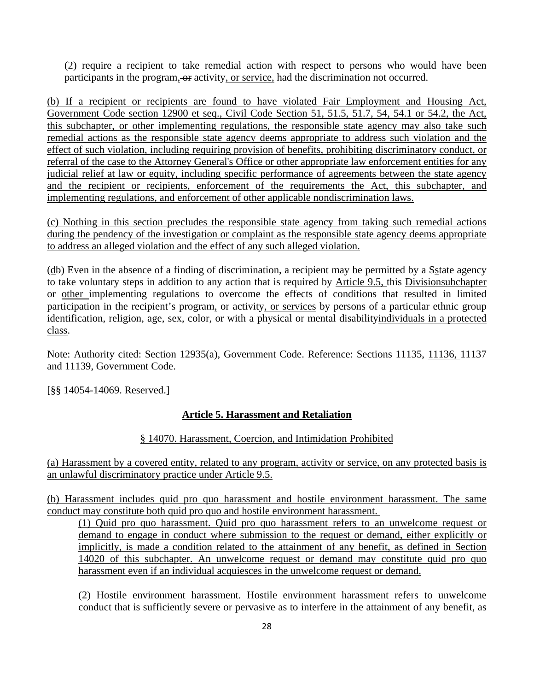(2) require a recipient to take remedial action with respect to persons who would have been participants in the program, or activity, or service, had the discrimination not occurred.

(b) If a recipient or recipients are found to have violated Fair Employment and Housing Act, Government Code section 12900 et seq., Civil Code Section 51, 51.5, 51.7, 54, 54.1 or 54.2, the Act, this subchapter, or other implementing regulations, the responsible state agency may also take such remedial actions as the responsible state agency deems appropriate to address such violation and the effect of such violation, including requiring provision of benefits, prohibiting discriminatory conduct, or referral of the case to the Attorney General's Office or other appropriate law enforcement entities for any judicial relief at law or equity, including specific performance of agreements between the state agency and the recipient or recipients, enforcement of the requirements the Act, this subchapter, and implementing regulations, and enforcement of other applicable nondiscrimination laws.

(c) Nothing in this section precludes the responsible state agency from taking such remedial actions during the pendency of the investigation or complaint as the responsible state agency deems appropriate to address an alleged violation and the effect of any such alleged violation.

(db) Even in the absence of a finding of discrimination, a recipient may be permitted by a Sstate agency to take voluntary steps in addition to any action that is required by Article 9.5, this Divisionsubchapter or other implementing regulations to overcome the effects of conditions that resulted in limited participation in the recipient's program, or activity, or services by persons of a particular ethnic group identification, religion, age, sex, color, or with a physical or mental disabilityindividuals in a protected class.

Note: Authority cited: Section 12935(a), Government Code. Reference: Sections 11135, 11136, 11137 and 11139, Government Code.

[§§ 14054-14069. Reserved.]

## **Article 5. Harassment and Retaliation**

## § 14070. Harassment, Coercion, and Intimidation Prohibited

(a) Harassment by a covered entity, related to any program, activity or service, on any protected basis is an unlawful discriminatory practice under Article 9.5.

(b) Harassment includes quid pro quo harassment and hostile environment harassment. The same conduct may constitute both quid pro quo and hostile environment harassment.

(1) Quid pro quo harassment. Quid pro quo harassment refers to an unwelcome request or demand to engage in conduct where submission to the request or demand, either explicitly or implicitly, is made a condition related to the attainment of any benefit, as defined in Section 14020 of this subchapter. An unwelcome request or demand may constitute quid pro quo harassment even if an individual acquiesces in the unwelcome request or demand.

(2) Hostile environment harassment. Hostile environment harassment refers to unwelcome conduct that is sufficiently severe or pervasive as to interfere in the attainment of any benefit, as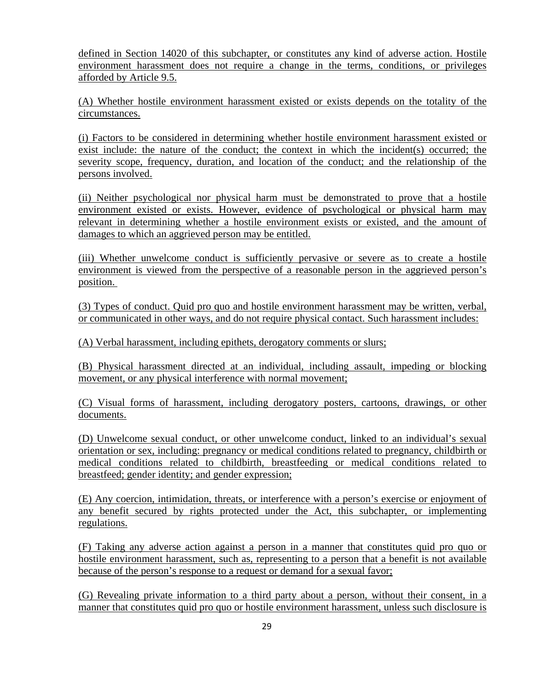defined in Section 14020 of this subchapter, or constitutes any kind of adverse action. Hostile environment harassment does not require a change in the terms, conditions, or privileges afforded by Article 9.5.

(A) Whether hostile environment harassment existed or exists depends on the totality of the circumstances.

(i) Factors to be considered in determining whether hostile environment harassment existed or exist include: the nature of the conduct; the context in which the incident(s) occurred; the severity scope, frequency, duration, and location of the conduct; and the relationship of the persons involved.

(ii) Neither psychological nor physical harm must be demonstrated to prove that a hostile environment existed or exists. However, evidence of psychological or physical harm may relevant in determining whether a hostile environment exists or existed, and the amount of damages to which an aggrieved person may be entitled.

(iii) Whether unwelcome conduct is sufficiently pervasive or severe as to create a hostile environment is viewed from the perspective of a reasonable person in the aggrieved person's position.

(3) Types of conduct. Quid pro quo and hostile environment harassment may be written, verbal, or communicated in other ways, and do not require physical contact. Such harassment includes:

(A) Verbal harassment, including epithets, derogatory comments or slurs;

(B) Physical harassment directed at an individual, including assault, impeding or blocking movement, or any physical interference with normal movement;

(C) Visual forms of harassment, including derogatory posters, cartoons, drawings, or other documents.

(D) Unwelcome sexual conduct, or other unwelcome conduct, linked to an individual's sexual orientation or sex, including: pregnancy or medical conditions related to pregnancy, childbirth or medical conditions related to childbirth, breastfeeding or medical conditions related to breastfeed; gender identity; and gender expression;

(E) Any coercion, intimidation, threats, or interference with a person's exercise or enjoyment of any benefit secured by rights protected under the Act, this subchapter, or implementing regulations.

(F) Taking any adverse action against a person in a manner that constitutes quid pro quo or hostile environment harassment, such as, representing to a person that a benefit is not available because of the person's response to a request or demand for a sexual favor;

(G) Revealing private information to a third party about a person, without their consent, in a manner that constitutes quid pro quo or hostile environment harassment, unless such disclosure is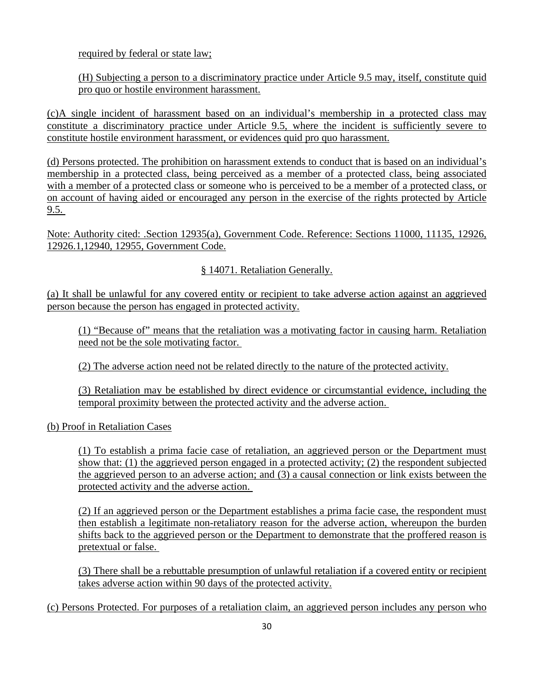required by federal or state law;

(H) Subjecting a person to a discriminatory practice under Article 9.5 may, itself, constitute quid pro quo or hostile environment harassment.

(c)A single incident of harassment based on an individual's membership in a protected class may constitute a discriminatory practice under Article 9.5, where the incident is sufficiently severe to constitute hostile environment harassment, or evidences quid pro quo harassment.

(d) Persons protected. The prohibition on harassment extends to conduct that is based on an individual's membership in a protected class, being perceived as a member of a protected class, being associated with a member of a protected class or someone who is perceived to be a member of a protected class, or on account of having aided or encouraged any person in the exercise of the rights protected by Article  $9.5.$ 

Note: Authority cited: .Section 12935(a), Government Code. Reference: Sections 11000, 11135, 12926, 12926.1,12940, 12955, Government Code.

§ 14071. Retaliation Generally.

(a) It shall be unlawful for any covered entity or recipient to take adverse action against an aggrieved person because the person has engaged in protected activity.

(1) "Because of" means that the retaliation was a motivating factor in causing harm. Retaliation need not be the sole motivating factor.

(2) The adverse action need not be related directly to the nature of the protected activity.

(3) Retaliation may be established by direct evidence or circumstantial evidence, including the temporal proximity between the protected activity and the adverse action.

(b) Proof in Retaliation Cases

(1) To establish a prima facie case of retaliation, an aggrieved person or the Department must show that: (1) the aggrieved person engaged in a protected activity; (2) the respondent subjected the aggrieved person to an adverse action; and (3) a causal connection or link exists between the protected activity and the adverse action.

(2) If an aggrieved person or the Department establishes a prima facie case, the respondent must then establish a legitimate non-retaliatory reason for the adverse action, whereupon the burden shifts back to the aggrieved person or the Department to demonstrate that the proffered reason is pretextual or false.

(3) There shall be a rebuttable presumption of unlawful retaliation if a covered entity or recipient takes adverse action within 90 days of the protected activity.

(c) Persons Protected. For purposes of a retaliation claim, an aggrieved person includes any person who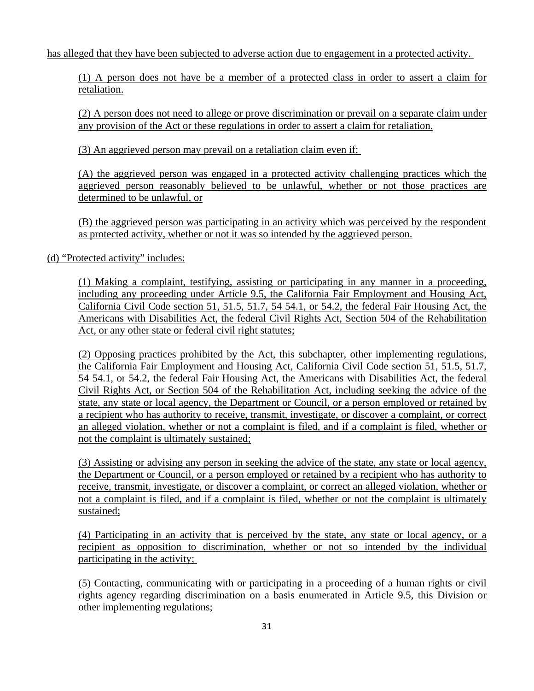has alleged that they have been subjected to adverse action due to engagement in a protected activity.

(1) A person does not have be a member of a protected class in order to assert a claim for retaliation.

(2) A person does not need to allege or prove discrimination or prevail on a separate claim under any provision of the Act or these regulations in order to assert a claim for retaliation.

(3) An aggrieved person may prevail on a retaliation claim even if:

(A) the aggrieved person was engaged in a protected activity challenging practices which the aggrieved person reasonably believed to be unlawful, whether or not those practices are determined to be unlawful, or

(B) the aggrieved person was participating in an activity which was perceived by the respondent as protected activity, whether or not it was so intended by the aggrieved person.

(d) "Protected activity" includes:

(1) Making a complaint, testifying, assisting or participating in any manner in a proceeding, including any proceeding under Article 9.5, the California Fair Employment and Housing Act, California Civil Code section 51, 51.5, 51.7, 54 54.1, or 54.2, the federal Fair Housing Act, the Americans with Disabilities Act, the federal Civil Rights Act, Section 504 of the Rehabilitation Act, or any other state or federal civil right statutes;

(2) Opposing practices prohibited by the Act, this subchapter, other implementing regulations, the California Fair Employment and Housing Act, California Civil Code section 51, 51.5, 51.7, 54 54.1, or 54.2, the federal Fair Housing Act, the Americans with Disabilities Act, the federal Civil Rights Act, or Section 504 of the Rehabilitation Act, including seeking the advice of the state, any state or local agency, the Department or Council, or a person employed or retained by a recipient who has authority to receive, transmit, investigate, or discover a complaint, or correct an alleged violation, whether or not a complaint is filed, and if a complaint is filed, whether or not the complaint is ultimately sustained;

(3) Assisting or advising any person in seeking the advice of the state, any state or local agency, the Department or Council, or a person employed or retained by a recipient who has authority to receive, transmit, investigate, or discover a complaint, or correct an alleged violation, whether or not a complaint is filed, and if a complaint is filed, whether or not the complaint is ultimately sustained;

(4) Participating in an activity that is perceived by the state, any state or local agency, or a recipient as opposition to discrimination, whether or not so intended by the individual participating in the activity;

(5) Contacting, communicating with or participating in a proceeding of a human rights or civil rights agency regarding discrimination on a basis enumerated in Article 9.5, this Division or other implementing regulations;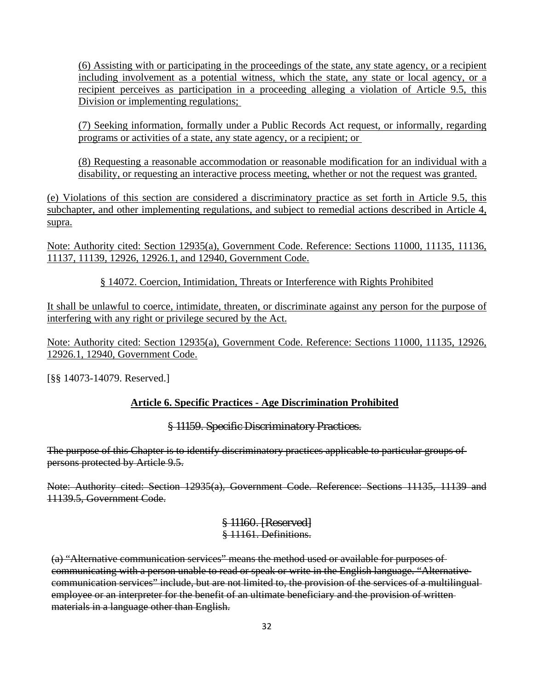(6) Assisting with or participating in the proceedings of the state, any state agency, or a recipient including involvement as a potential witness, which the state, any state or local agency, or a recipient perceives as participation in a proceeding alleging a violation of Article 9.5, this Division or implementing regulations;

(7) Seeking information, formally under a Public Records Act request, or informally, regarding programs or activities of a state, any state agency, or a recipient; or

(8) Requesting a reasonable accommodation or reasonable modification for an individual with a disability, or requesting an interactive process meeting, whether or not the request was granted.

(e) Violations of this section are considered a discriminatory practice as set forth in Article 9.5, this subchapter, and other implementing regulations, and subject to remedial actions described in Article 4, supra.

Note: Authority cited: Section 12935(a), Government Code. Reference: Sections 11000, 11135, 11136, 11137, 11139, 12926, 12926.1, and 12940, Government Code.

§ 14072. Coercion, Intimidation, Threats or Interference with Rights Prohibited

It shall be unlawful to coerce, intimidate, threaten, or discriminate against any person for the purpose of interfering with any right or privilege secured by the Act.

Note: Authority cited: Section 12935(a), Government Code. Reference: Sections 11000, 11135, 12926, 12926.1, 12940, Government Code.

[§§ 14073-14079. Reserved.]

### **Article 6. Specific Practices - Age Discrimination Prohibited**

### § 11159. Specific Discriminatory Practices.

The purpose of this Chapter is to identify discriminatory practices applicable to particular groups of persons protected by Article 9.5.

Note: Authority cited: Section 12935(a), Government Code. Reference: Sections 11135, 11139 and 11139.5, Government Code.

> § 11160. [Reserved] § 11161. Definitions.

(a) "Alternative communication services" means the method used or available for purposes of communicating with a person unable to read or speak or write in the English language. "Alternative communication services" include, but are not limited to, the provision of the services of a multilingual employee or an interpreter for the benefit of an ultimate beneficiary and the provision of writtenmaterials in a language other than English.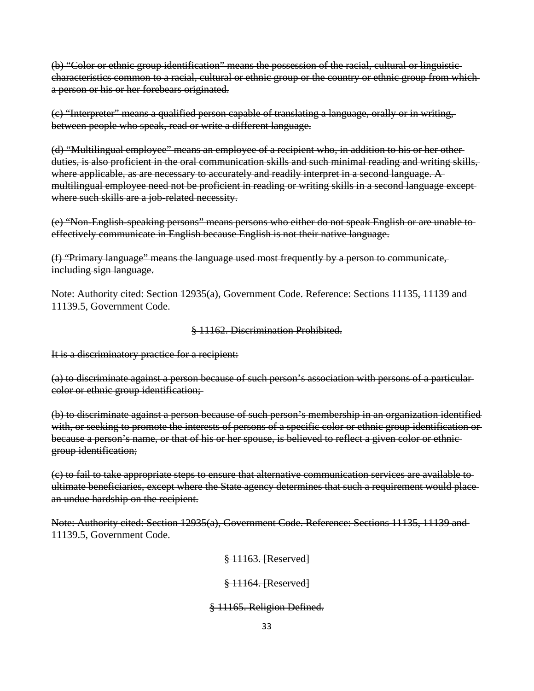(b) "Color or ethnic group identification" means the possession of the racial, cultural or linguistic characteristics common to a racial, cultural or ethnic group or the country or ethnic group from which a person or his or her forebears originated.

(c) "Interpreter" means a qualified person capable of translating a language, orally or in writing, between people who speak, read or write a different language.

(d) "Multilingual employee" means an employee of a recipient who, in addition to his or her other duties, is also proficient in the oral communication skills and such minimal reading and writing skills, where applicable, as are necessary to accurately and readily interpret in a second language. A multilingual employee need not be proficient in reading or writing skills in a second language except where such skills are a job-related necessity.

(e) "Non-English-speaking persons" means persons who either do not speak English or are unable to effectively communicate in English because English is not their native language.

(f) "Primary language" means the language used most frequently by a person to communicate, including sign language.

Note: Authority cited: Section 12935(a), Government Code. Reference: Sections 11135, 11139 and 11139.5, Government Code.

§ 11162. Discrimination Prohibited.

It is a discriminatory practice for a recipient:

(a) to discriminate against a person because of such person's association with persons of a particular color or ethnic group identification;

(b) to discriminate against a person because of such person's membership in an organization identified with, or seeking to promote the interests of persons of a specific color or ethnic group identification or because a person's name, or that of his or her spouse, is believed to reflect a given color or ethnic group identification;

(c) to fail to take appropriate steps to ensure that alternative communication services are available to ultimate beneficiaries, except where the State agency determines that such a requirement would place an undue hardship on the recipient.

Note: Authority cited: Section 12935(a), Government Code. Reference: Sections 11135, 11139 and 11139.5, Government Code.

§ 11163. [Reserved]

§ 11164. [Reserved]

### § 11165. Religion Defined.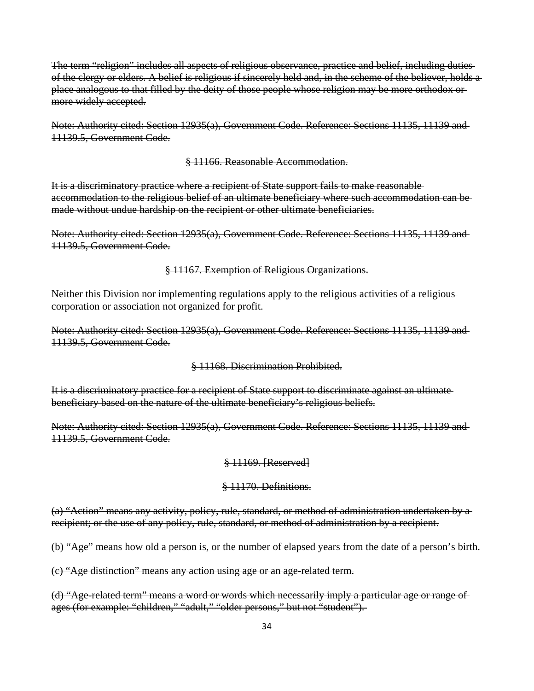The term "religion" includes all aspects of religious observance, practice and belief, including duties of the clergy or elders. A belief is religious if sincerely held and, in the scheme of the believer, holds a place analogous to that filled by the deity of those people whose religion may be more orthodox or more widely accepted.

Note: Authority cited: Section 12935(a), Government Code. Reference: Sections 11135, 11139 and 11139.5, Government Code.

§ 11166. Reasonable Accommodation.

It is a discriminatory practice where a recipient of State support fails to make reasonable accommodation to the religious belief of an ultimate beneficiary where such accommodation can be made without undue hardship on the recipient or other ultimate beneficiaries.

Note: Authority cited: Section 12935(a), Government Code. Reference: Sections 11135, 11139 and 11139.5, Government Code.

§ 11167. Exemption of Religious Organizations.

Neither this Division nor implementing regulations apply to the religious activities of a religious corporation or association not organized for profit.

Note: Authority cited: Section 12935(a), Government Code. Reference: Sections 11135, 11139 and 11139.5, Government Code.

§ 11168. Discrimination Prohibited.

It is a discriminatory practice for a recipient of State support to discriminate against an ultimate beneficiary based on the nature of the ultimate beneficiary's religious beliefs.

Note: Authority cited: Section 12935(a), Government Code. Reference: Sections 11135, 11139 and 11139.5, Government Code.

#### § 11169. [Reserved]

#### § 11170. Definitions.

(a) "Action" means any activity, policy, rule, standard, or method of administration undertaken by a recipient; or the use of any policy, rule, standard, or method of administration by a recipient.

(b) "Age" means how old a person is, or the number of elapsed years from the date of a person's birth.

(c) "Age distinction" means any action using age or an age-related term.

(d) "Age-related term" means a word or words which necessarily imply a particular age or range of ages (for example: "children," "adult," "older persons," but not "student").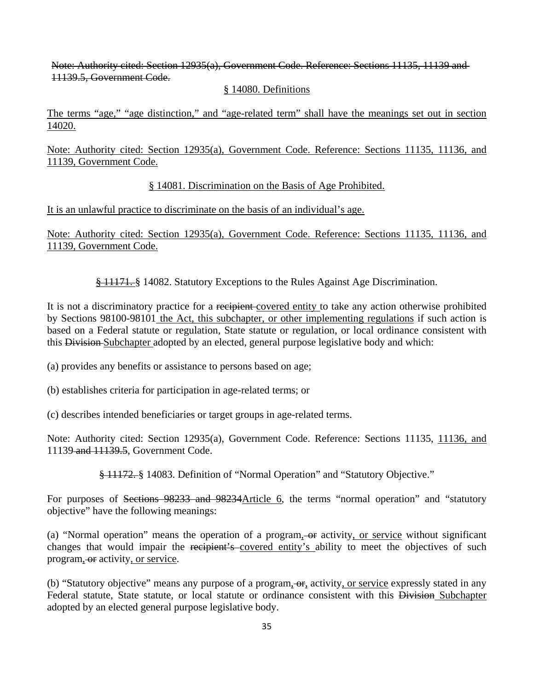Note: Authority cited: Section 12935(a), Government Code. Reference: Sections 11135, 11139 and 11139.5, Government Code.

### § 14080. Definitions

The terms "age," "age distinction," and "age-related term" shall have the meanings set out in section 14020.

Note: Authority cited: Section 12935(a), Government Code. Reference: Sections 11135, 11136, and 11139, Government Code.

### § 14081. Discrimination on the Basis of Age Prohibited.

It is an unlawful practice to discriminate on the basis of an individual's age.

Note: Authority cited: Section 12935(a), Government Code. Reference: Sections 11135, 11136, and 11139, Government Code.

§ 11171. § 14082. Statutory Exceptions to the Rules Against Age Discrimination.

It is not a discriminatory practice for a recipient covered entity to take any action otherwise prohibited by Sections 98100-98101 the Act, this subchapter, or other implementing regulations if such action is based on a Federal statute or regulation, State statute or regulation, or local ordinance consistent with this Division Subchapter adopted by an elected, general purpose legislative body and which:

- (a) provides any benefits or assistance to persons based on age;
- (b) establishes criteria for participation in age-related terms; or
- (c) describes intended beneficiaries or target groups in age-related terms.

Note: Authority cited: Section 12935(a), Government Code. Reference: Sections 11135, 11136, and 11139 and 11139.5, Government Code.

§ 11172. § 14083. Definition of "Normal Operation" and "Statutory Objective."

For purposes of Sections 98233 and 98234 Article 6, the terms "normal operation" and "statutory objective" have the following meanings:

(a) "Normal operation" means the operation of a program,  $-$ or activity, or service without significant changes that would impair the recipient's covered entity's ability to meet the objectives of such program, or activity, or service.

(b) "Statutory objective" means any purpose of a program, or, activity, or service expressly stated in any Federal statute, State statute, or local statute or ordinance consistent with this Division Subchapter adopted by an elected general purpose legislative body.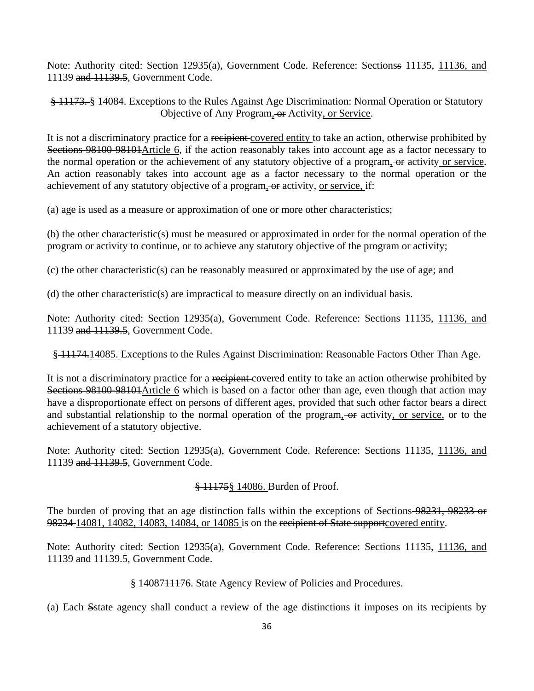Note: Authority cited: Section 12935(a), Government Code. Reference: Sectionss 11135, 11136, and 11139 and 11139.5, Government Code.

§ 11173. § 14084. Exceptions to the Rules Against Age Discrimination: Normal Operation or Statutory Objective of Any Program, or Activity, or Service.

It is not a discriminatory practice for a recipient covered entity to take an action, otherwise prohibited by Sections 98100-98101Article 6, if the action reasonably takes into account age as a factor necessary to the normal operation or the achievement of any statutory objective of a program, or activity or service. An action reasonably takes into account age as a factor necessary to the normal operation or the achievement of any statutory objective of a program, or activity, or service, if:

(a) age is used as a measure or approximation of one or more other characteristics;

(b) the other characteristic(s) must be measured or approximated in order for the normal operation of the program or activity to continue, or to achieve any statutory objective of the program or activity;

(c) the other characteristic(s) can be reasonably measured or approximated by the use of age; and

(d) the other characteristic(s) are impractical to measure directly on an individual basis.

Note: Authority cited: Section 12935(a), Government Code. Reference: Sections 11135, 11136, and 11139 and 11139.5, Government Code.

§ 11174.14085. Exceptions to the Rules Against Discrimination: Reasonable Factors Other Than Age.

It is not a discriminatory practice for a recipient-covered entity to take an action otherwise prohibited by Sections 98100-98101Article 6 which is based on a factor other than age, even though that action may have a disproportionate effect on persons of different ages, provided that such other factor bears a direct and substantial relationship to the normal operation of the program, or activity, or service, or to the achievement of a statutory objective.

Note: Authority cited: Section 12935(a), Government Code. Reference: Sections 11135, 11136, and 11139 and 11139.5, Government Code.

§ 11175§ 14086. Burden of Proof.

The burden of proving that an age distinction falls within the exceptions of Sections 98231, 98233 or 98234-14081, 14082, 14083, 14084, or 14085 is on the recipient of State supportcovered entity.

Note: Authority cited: Section 12935(a), Government Code. Reference: Sections 11135, 11136, and 11139 and 11139.5, Government Code.

§ 1408711176. State Agency Review of Policies and Procedures.

(a) Each Sstate agency shall conduct a review of the age distinctions it imposes on its recipients by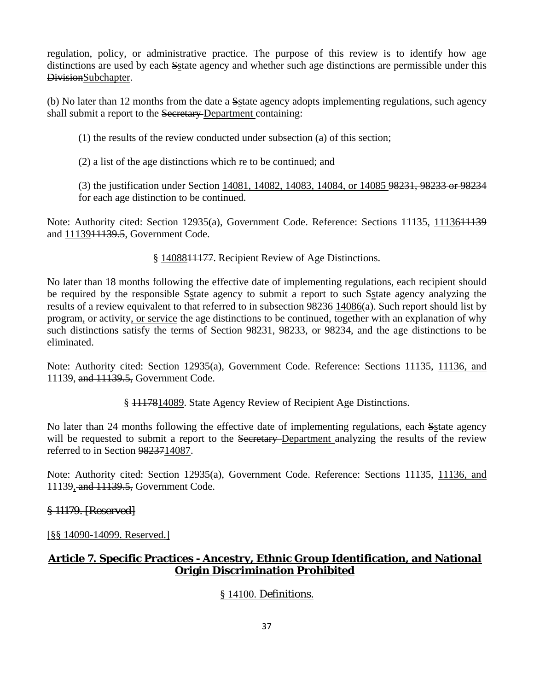regulation, policy, or administrative practice. The purpose of this review is to identify how age distinctions are used by each Sstate agency and whether such age distinctions are permissible under this DivisionSubchapter.

(b) No later than 12 months from the date a Sstate agency adopts implementing regulations, such agency shall submit a report to the Secretary-Department containing:

(1) the results of the review conducted under subsection (a) of this section;

(2) a list of the age distinctions which re to be continued; and

(3) the justification under Section 14081, 14082, 14083, 14084, or 14085 98231, 98233 or 98234 for each age distinction to be continued.

Note: Authority cited: Section 12935(a), Government Code. Reference: Sections 11135, 1113611139 and 1113911139.5, Government Code.

§ 1408811177. Recipient Review of Age Distinctions.

No later than 18 months following the effective date of implementing regulations, each recipient should be required by the responsible Sstate agency to submit a report to such Sstate agency analyzing the results of a review equivalent to that referred to in subsection 98236 14086(a). Such report should list by program, or activity, or service the age distinctions to be continued, together with an explanation of why such distinctions satisfy the terms of Section 98231, 98233, or 98234, and the age distinctions to be eliminated.

Note: Authority cited: Section 12935(a), Government Code. Reference: Sections 11135, 11136, and 11139, and 11139.5, Government Code.

§ 1117814089. State Agency Review of Recipient Age Distinctions.

No later than 24 months following the effective date of implementing regulations, each Sstate agency will be requested to submit a report to the Secretary-Department analyzing the results of the review referred to in Section 9823714087.

Note: Authority cited: Section 12935(a), Government Code. Reference: Sections 11135, 11136, and 11139, and 11139.5, Government Code.

## § 11179. [Reserved]

[§§ 14090-14099. Reserved.]

## **Article 7. Specific Practices - Ancestry, Ethnic Group Identification, and National Origin Discrimination Prohibited**

## § 14100. Definitions.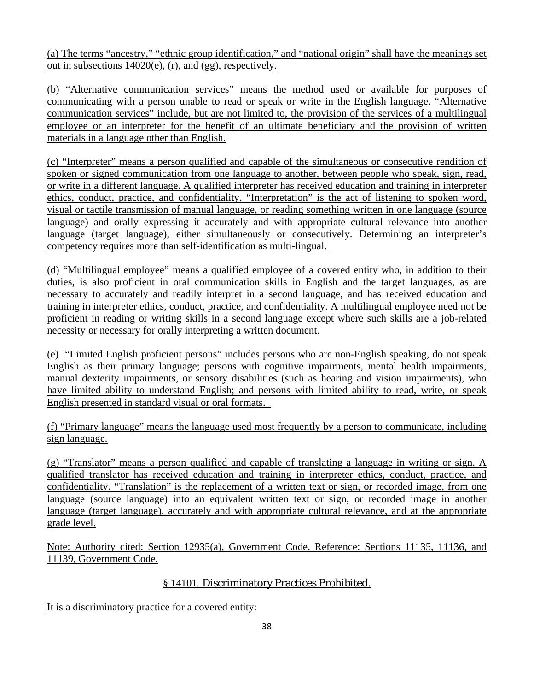(a) The terms "ancestry," "ethnic group identification," and "national origin" shall have the meanings set out in subsections 14020(e), (r), and (gg), respectively.

(b) "Alternative communication services" means the method used or available for purposes of communicating with a person unable to read or speak or write in the English language. "Alternative communication services" include, but are not limited to, the provision of the services of a multilingual employee or an interpreter for the benefit of an ultimate beneficiary and the provision of written materials in a language other than English.

(c) "Interpreter" means a person qualified and capable of the simultaneous or consecutive rendition of spoken or signed communication from one language to another, between people who speak, sign, read, or write in a different language. A qualified interpreter has received education and training in interpreter ethics, conduct, practice, and confidentiality. "Interpretation" is the act of listening to spoken word, visual or tactile transmission of manual language, or reading something written in one language (source language) and orally expressing it accurately and with appropriate cultural relevance into another language (target language), either simultaneously or consecutively. Determining an interpreter's competency requires more than self-identification as multi-lingual.

(d) "Multilingual employee" means a qualified employee of a covered entity who, in addition to their duties, is also proficient in oral communication skills in English and the target languages, as are necessary to accurately and readily interpret in a second language, and has received education and training in interpreter ethics, conduct, practice, and confidentiality. A multilingual employee need not be proficient in reading or writing skills in a second language except where such skills are a job-related necessity or necessary for orally interpreting a written document.

(e) "Limited English proficient persons" includes persons who are non-English speaking, do not speak English as their primary language; persons with cognitive impairments, mental health impairments, manual dexterity impairments, or sensory disabilities (such as hearing and vision impairments), who have limited ability to understand English; and persons with limited ability to read, write, or speak English presented in standard visual or oral formats.

(f) "Primary language" means the language used most frequently by a person to communicate, including sign language.

(g) "Translator" means a person qualified and capable of translating a language in writing or sign. A qualified translator has received education and training in interpreter ethics, conduct, practice, and confidentiality. "Translation" is the replacement of a written text or sign, or recorded image, from one language (source language) into an equivalent written text or sign, or recorded image in another language (target language), accurately and with appropriate cultural relevance, and at the appropriate grade level.

Note: Authority cited: Section 12935(a), Government Code. Reference: Sections 11135, 11136, and 11139, Government Code.

## § 14101. Discriminatory Practices Prohibited.

It is a discriminatory practice for a covered entity: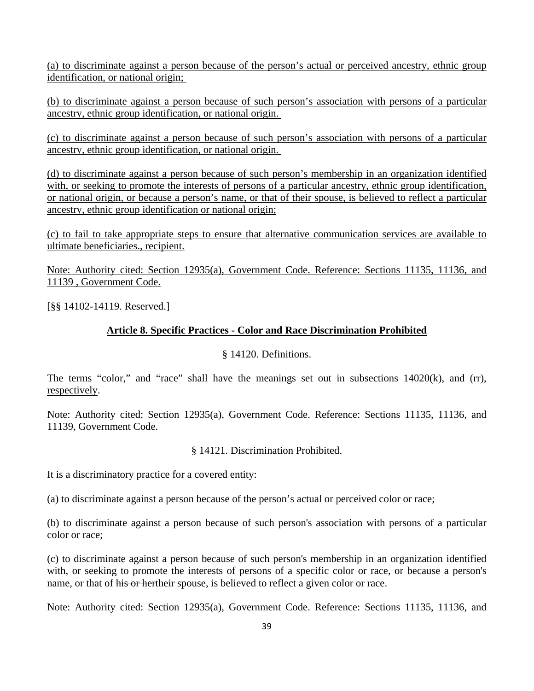(a) to discriminate against a person because of the person's actual or perceived ancestry, ethnic group identification, or national origin;

(b) to discriminate against a person because of such person's association with persons of a particular ancestry, ethnic group identification, or national origin.

(c) to discriminate against a person because of such person's association with persons of a particular ancestry, ethnic group identification, or national origin.

(d) to discriminate against a person because of such person's membership in an organization identified with, or seeking to promote the interests of persons of a particular ancestry, ethnic group identification, or national origin, or because a person's name, or that of their spouse, is believed to reflect a particular ancestry, ethnic group identification or national origin;

(c) to fail to take appropriate steps to ensure that alternative communication services are available to ultimate beneficiaries., recipient.

Note: Authority cited: Section 12935(a), Government Code. Reference: Sections 11135, 11136, and 11139 , Government Code.

[§§ 14102-14119. Reserved.]

### **Article 8. Specific Practices - Color and Race Discrimination Prohibited**

### § 14120. Definitions.

The terms "color," and "race" shall have the meanings set out in subsections 14020(k), and (rr), respectively.

Note: Authority cited: Section 12935(a), Government Code. Reference: Sections 11135, 11136, and 11139, Government Code.

§ 14121. Discrimination Prohibited.

It is a discriminatory practice for a covered entity:

(a) to discriminate against a person because of the person's actual or perceived color or race;

(b) to discriminate against a person because of such person's association with persons of a particular color or race;

(c) to discriminate against a person because of such person's membership in an organization identified with, or seeking to promote the interests of persons of a specific color or race, or because a person's name, or that of his or hertheir spouse, is believed to reflect a given color or race.

Note: Authority cited: Section 12935(a), Government Code. Reference: Sections 11135, 11136, and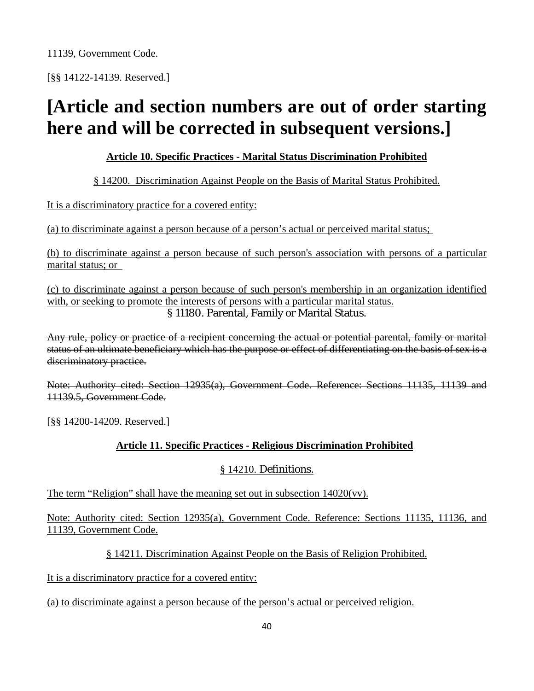[§§ 14122-14139. Reserved.]

# **[Article and section numbers are out of order starting here and will be corrected in subsequent versions.]**

## **Article 10. Specific Practices - Marital Status Discrimination Prohibited**

## § 14200. Discrimination Against People on the Basis of Marital Status Prohibited.

It is a discriminatory practice for a covered entity:

(a) to discriminate against a person because of a person's actual or perceived marital status;

(b) to discriminate against a person because of such person's association with persons of a particular marital status; or

(c) to discriminate against a person because of such person's membership in an organization identified with, or seeking to promote the interests of persons with a particular marital status. § 11180. Parental, Family or Marital Status.

Any rule, policy or practice of a recipient concerning the actual or potential parental, family or marital status of an ultimate beneficiary which has the purpose or effect of differentiating on the basis of sex is a discriminatory practice.

Note: Authority cited: Section 12935(a), Government Code. Reference: Sections 11135, 11139 and 11139.5, Government Code.

[§§ 14200-14209. Reserved.]

## **Article 11. Specific Practices - Religious Discrimination Prohibited**

## § 14210. Definitions.

The term "Religion" shall have the meaning set out in subsection 14020(vv).

Note: Authority cited: Section 12935(a), Government Code. Reference: Sections 11135, 11136, and 11139, Government Code.

§ 14211. Discrimination Against People on the Basis of Religion Prohibited.

It is a discriminatory practice for a covered entity:

(a) to discriminate against a person because of the person's actual or perceived religion.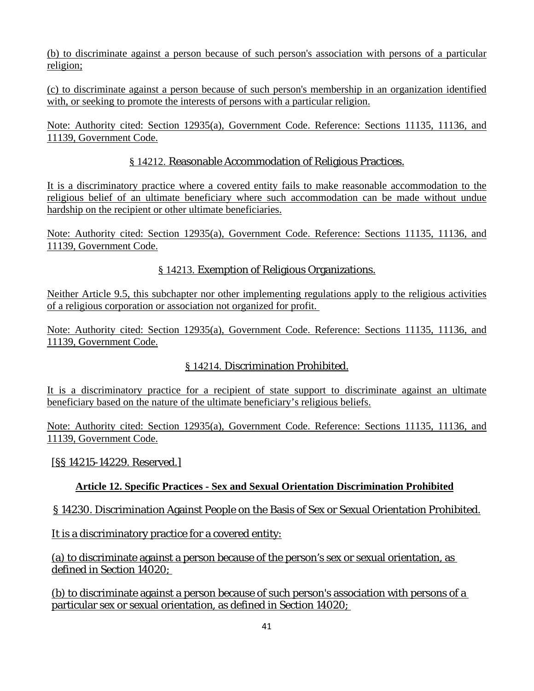(b) to discriminate against a person because of such person's association with persons of a particular religion;

(c) to discriminate against a person because of such person's membership in an organization identified with, or seeking to promote the interests of persons with a particular religion.

Note: Authority cited: Section 12935(a), Government Code. Reference: Sections 11135, 11136, and 11139, Government Code.

## § 14212. Reasonable Accommodation of Religious Practices.

It is a discriminatory practice where a covered entity fails to make reasonable accommodation to the religious belief of an ultimate beneficiary where such accommodation can be made without undue hardship on the recipient or other ultimate beneficiaries.

Note: Authority cited: Section 12935(a), Government Code. Reference: Sections 11135, 11136, and 11139, Government Code.

## § 14213. Exemption of Religious Organizations.

Neither Article 9.5, this subchapter nor other implementing regulations apply to the religious activities of a religious corporation or association not organized for profit.

Note: Authority cited: Section 12935(a), Government Code. Reference: Sections 11135, 11136, and 11139, Government Code.

## § 14214. Discrimination Prohibited.

It is a discriminatory practice for a recipient of state support to discriminate against an ultimate beneficiary based on the nature of the ultimate beneficiary's religious beliefs.

Note: Authority cited: Section 12935(a), Government Code. Reference: Sections 11135, 11136, and 11139, Government Code.

[§§ 14215-14229. Reserved.]

## **Article 12. Specific Practices - Sex and Sexual Orientation Discrimination Prohibited**

## § 14230. Discrimination Against People on the Basis of Sex or Sexual Orientation Prohibited.

It is a discriminatory practice for a covered entity:

(a) to discriminate against a person because of the person's sex or sexual orientation, as defined in Section 14020;

(b) to discriminate against a person because of such person's association with persons of a particular sex or sexual orientation, as defined in Section 14020;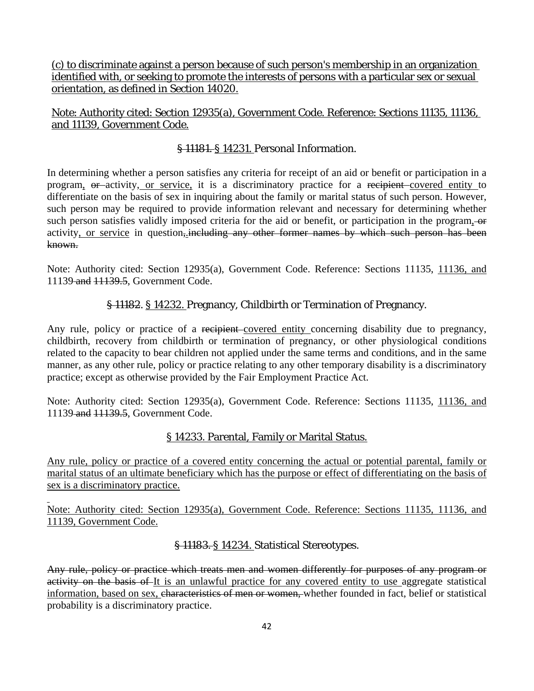(c) to discriminate against a person because of such person's membership in an organization identified with, or seeking to promote the interests of persons with a particular sex or sexual orientation, as defined in Section 14020.

## Note: Authority cited: Section 12935(a), Government Code. Reference: Sections 11135, 11136, and 11139, Government Code.

## § 11181. § 14231. Personal Information.

In determining whether a person satisfies any criteria for receipt of an aid or benefit or participation in a program, or activity, or service, it is a discriminatory practice for a recipient covered entity to differentiate on the basis of sex in inquiring about the family or marital status of such person. However, such person may be required to provide information relevant and necessary for determining whether such person satisfies validly imposed criteria for the aid or benefit, or participation in the program, or activity, or service in question, including any other former names by which such person has been known.

Note: Authority cited: Section 12935(a), Government Code. Reference: Sections 11135, 11136, and 11139 and 11139.5, Government Code.

## § 11182. § 14232. Pregnancy, Childbirth or Termination of Pregnancy.

Any rule, policy or practice of a recipient-covered entity concerning disability due to pregnancy, childbirth, recovery from childbirth or termination of pregnancy, or other physiological conditions related to the capacity to bear children not applied under the same terms and conditions, and in the same manner, as any other rule, policy or practice relating to any other temporary disability is a discriminatory practice; except as otherwise provided by the Fair Employment Practice Act.

Note: Authority cited: Section 12935(a), Government Code. Reference: Sections 11135, 11136, and 11139 and 11139.5, Government Code.

## § 14233. Parental, Family or Marital Status.

Any rule, policy or practice of a covered entity concerning the actual or potential parental, family or marital status of an ultimate beneficiary which has the purpose or effect of differentiating on the basis of sex is a discriminatory practice.

Note: Authority cited: Section 12935(a), Government Code. Reference: Sections 11135, 11136, and 11139, Government Code.

l

## § 11183. § 14234. Statistical Stereotypes.

Any rule, policy or practice which treats men and women differently for purposes of any program or activity on the basis of It is an unlawful practice for any covered entity to use aggregate statistical information, based on sex, characteristics of men or women, whether founded in fact, belief or statistical probability is a discriminatory practice.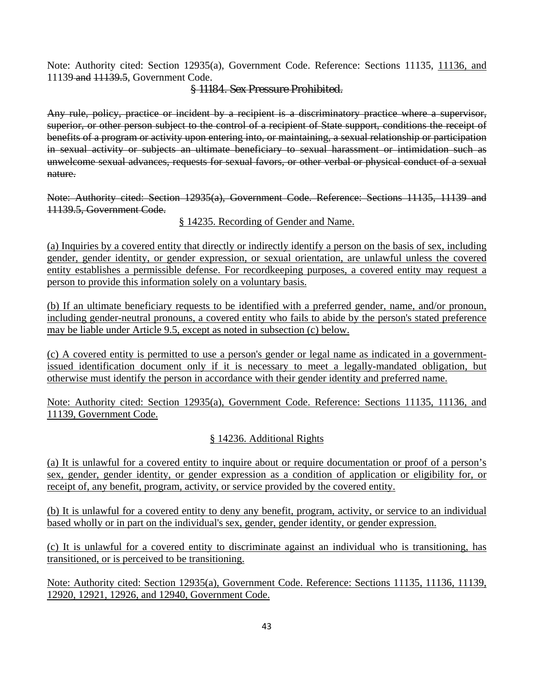Note: Authority cited: Section 12935(a), Government Code. Reference: Sections 11135, 11136, and 11139 and 11139.5, Government Code.

### § 11184. Sex Pressure Prohibited.

Any rule, policy, practice or incident by a recipient is a discriminatory practice where a supervisor, superior, or other person subject to the control of a recipient of State support, conditions the receipt of benefits of a program or activity upon entering into, or maintaining, a sexual relationship or participation in sexual activity or subjects an ultimate beneficiary to sexual harassment or intimidation such as unwelcome sexual advances, requests for sexual favors, or other verbal or physical conduct of a sexual nature.

Note: Authority cited: Section 12935(a), Government Code. Reference: Sections 11135, 11139 and 11139.5, Government Code.

§ 14235. Recording of Gender and Name.

(a) Inquiries by a covered entity that directly or indirectly identify a person on the basis of sex, including gender, gender identity, or gender expression, or sexual orientation, are unlawful unless the covered entity establishes a permissible defense. For recordkeeping purposes, a covered entity may request a person to provide this information solely on a voluntary basis.

(b) If an ultimate beneficiary requests to be identified with a preferred gender, name, and/or pronoun, including gender-neutral pronouns, a covered entity who fails to abide by the person's stated preference may be liable under Article 9.5, except as noted in subsection (c) below.

(c) A covered entity is permitted to use a person's gender or legal name as indicated in a governmentissued identification document only if it is necessary to meet a legally-mandated obligation, but otherwise must identify the person in accordance with their gender identity and preferred name.

Note: Authority cited: Section 12935(a), Government Code. Reference: Sections 11135, 11136, and 11139, Government Code.

## § 14236. Additional Rights

(a) It is unlawful for a covered entity to inquire about or require documentation or proof of a person's sex, gender, gender identity, or gender expression as a condition of application or eligibility for, or receipt of, any benefit, program, activity, or service provided by the covered entity.

(b) It is unlawful for a covered entity to deny any benefit, program, activity, or service to an individual based wholly or in part on the individual's sex, gender, gender identity, or gender expression.

(c) It is unlawful for a covered entity to discriminate against an individual who is transitioning, has transitioned, or is perceived to be transitioning.

Note: Authority cited: Section 12935(a), Government Code. Reference: Sections 11135, 11136, 11139, 12920, 12921, 12926, and 12940, Government Code.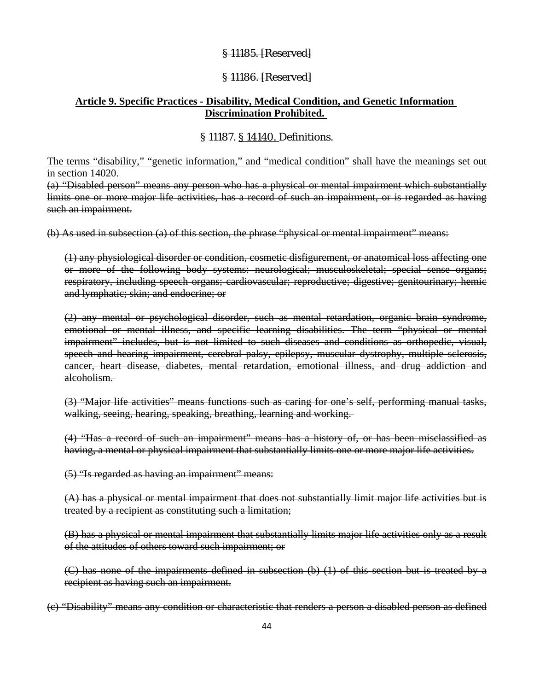## § 11185. [Reserved]

### § 11186. [Reserved]

### **Article 9. Specific Practices - Disability, Medical Condition, and Genetic Information Discrimination Prohibited.**

### § 11187. § 14140. Definitions.

The terms "disability," "genetic information," and "medical condition" shall have the meanings set out in section 14020.

(a) "Disabled person" means any person who has a physical or mental impairment which substantially limits one or more major life activities, has a record of such an impairment, or is regarded as having such an impairment.

(b) As used in subsection (a) of this section, the phrase "physical or mental impairment" means:

(1) any physiological disorder or condition, cosmetic disfigurement, or anatomical loss affecting one or more of the following body systems: neurological; musculoskeletal; special sense organs; respiratory, including speech organs; cardiovascular; reproductive; digestive; genitourinary; hemic and lymphatic; skin; and endocrine; or

(2) any mental or psychological disorder, such as mental retardation, organic brain syndrome, emotional or mental illness, and specific learning disabilities. The term "physical or mental impairment" includes, but is not limited to such diseases and conditions as orthopedic, visual, speech and hearing impairment, cerebral palsy, epilepsy, muscular dystrophy, multiple sclerosis, cancer, heart disease, diabetes, mental retardation, emotional illness, and drug addiction and alcoholism.

(3) "Major life activities" means functions such as caring for one's self, performing manual tasks, walking, seeing, hearing, speaking, breathing, learning and working.

(4) "Has a record of such an impairment" means has a history of, or has been misclassified as having, a mental or physical impairment that substantially limits one or more major life activities.

(5) "Is regarded as having an impairment" means:

(A) has a physical or mental impairment that does not substantially limit major life activities but is treated by a recipient as constituting such a limitation;

(B) has a physical or mental impairment that substantially limits major life activities only as a result of the attitudes of others toward such impairment; or

(C) has none of the impairments defined in subsection (b) (1) of this section but is treated by a recipient as having such an impairment.

(c) "Disability" means any condition or characteristic that renders a person a disabled person as defined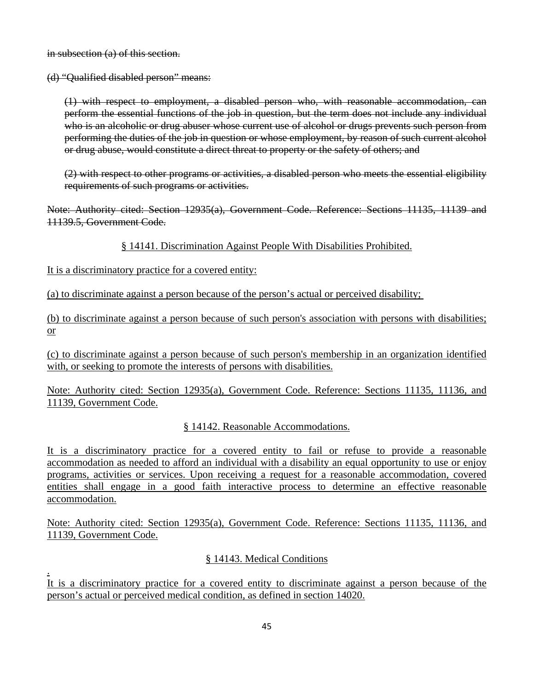in subsection (a) of this section.

(d) "Qualified disabled person" means:

(1) with respect to employment, a disabled person who, with reasonable accommodation, can perform the essential functions of the job in question, but the term does not include any individual who is an alcoholic or drug abuser whose current use of alcohol or drugs prevents such person from performing the duties of the job in question or whose employment, by reason of such current alcohol or drug abuse, would constitute a direct threat to property or the safety of others; and

(2) with respect to other programs or activities, a disabled person who meets the essential eligibility requirements of such programs or activities.

Note: Authority cited: Section 12935(a), Government Code. Reference: Sections 11135, 11139 and 11139.5, Government Code.

§ 14141. Discrimination Against People With Disabilities Prohibited.

It is a discriminatory practice for a covered entity:

.

(a) to discriminate against a person because of the person's actual or perceived disability;

(b) to discriminate against a person because of such person's association with persons with disabilities; or

(c) to discriminate against a person because of such person's membership in an organization identified with, or seeking to promote the interests of persons with disabilities.

Note: Authority cited: Section 12935(a), Government Code. Reference: Sections 11135, 11136, and 11139, Government Code.

§ 14142. Reasonable Accommodations.

It is a discriminatory practice for a covered entity to fail or refuse to provide a reasonable accommodation as needed to afford an individual with a disability an equal opportunity to use or enjoy programs, activities or services. Upon receiving a request for a reasonable accommodation, covered entities shall engage in a good faith interactive process to determine an effective reasonable accommodation.

Note: Authority cited: Section 12935(a), Government Code. Reference: Sections 11135, 11136, and 11139, Government Code.

## § 14143. Medical Conditions

It is a discriminatory practice for a covered entity to discriminate against a person because of the person's actual or perceived medical condition, as defined in section 14020.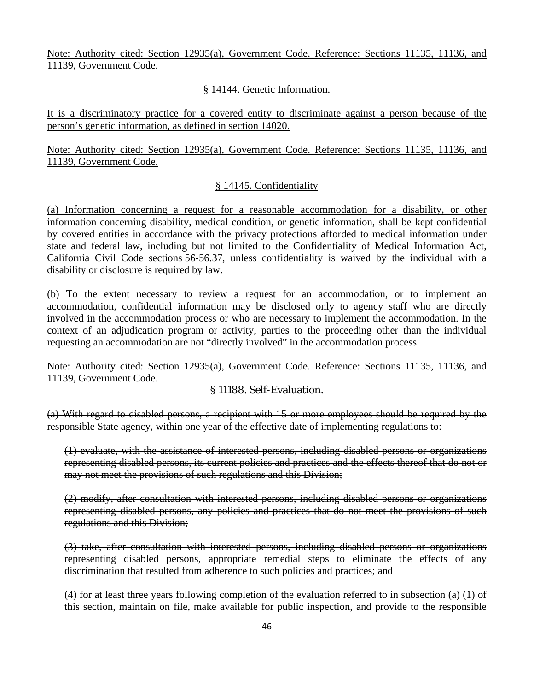Note: Authority cited: Section 12935(a), Government Code. Reference: Sections 11135, 11136, and 11139, Government Code.

### § 14144. Genetic Information.

It is a discriminatory practice for a covered entity to discriminate against a person because of the person's genetic information, as defined in section 14020.

Note: Authority cited: Section 12935(a), Government Code. Reference: Sections 11135, 11136, and 11139, Government Code.

## § 14145. Confidentiality

(a) Information concerning a request for a reasonable accommodation for a disability, or other information concerning disability, medical condition, or genetic information, shall be kept confidential by covered entities in accordance with the privacy protections afforded to medical information under state and federal law, including but not limited to the Confidentiality of Medical Information Act, California Civil Code sections 56-56.37, unless confidentiality is waived by the individual with a disability or disclosure is required by law.

(b) To the extent necessary to review a request for an accommodation, or to implement an accommodation, confidential information may be disclosed only to agency staff who are directly involved in the accommodation process or who are necessary to implement the accommodation. In the context of an adjudication program or activity, parties to the proceeding other than the individual requesting an accommodation are not "directly involved" in the accommodation process.

Note: Authority cited: Section 12935(a), Government Code. Reference: Sections 11135, 11136, and 11139, Government Code.

## § 11188. Self-Evaluation.

(a) With regard to disabled persons, a recipient with 15 or more employees should be required by the responsible State agency, within one year of the effective date of implementing regulations to:

(1) evaluate, with the assistance of interested persons, including disabled persons or organizations representing disabled persons, its current policies and practices and the effects thereof that do not or may not meet the provisions of such regulations and this Division;

(2) modify, after consultation with interested persons, including disabled persons or organizations representing disabled persons, any policies and practices that do not meet the provisions of such regulations and this Division;

(3) take, after consultation with interested persons, including disabled persons or organizations representing disabled persons, appropriate remedial steps to eliminate the effects of any discrimination that resulted from adherence to such policies and practices; and

(4) for at least three years following completion of the evaluation referred to in subsection (a) (1) of this section, maintain on file, make available for public inspection, and provide to the responsible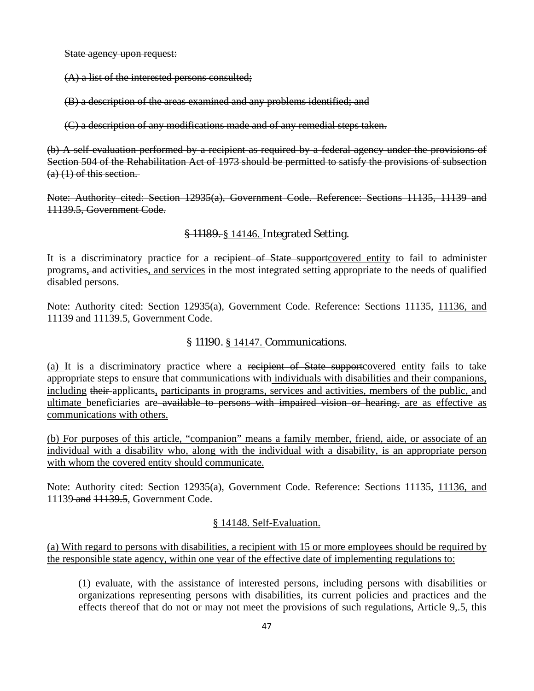State agency upon request:

(A) a list of the interested persons consulted;

(B) a description of the areas examined and any problems identified; and

(C) a description of any modifications made and of any remedial steps taken.

(b) A self-evaluation performed by a recipient as required by a federal agency under the provisions of Section 504 of the Rehabilitation Act of 1973 should be permitted to satisfy the provisions of subsection  $(a)$  (1) of this section.

Note: Authority cited: Section 12935(a), Government Code. Reference: Sections 11135, 11139 and 11139.5, Government Code.

## § 11189. § 14146. Integrated Setting.

It is a discriminatory practice for a recipient of State supportcovered entity to fail to administer programs, and activities, and services in the most integrated setting appropriate to the needs of qualified disabled persons.

Note: Authority cited: Section 12935(a), Government Code. Reference: Sections 11135, 11136, and 11139 and 11139.5, Government Code.

### § 11190. § 14147. Communications.

(a) It is a discriminatory practice where a recipient of State supportcovered entity fails to take appropriate steps to ensure that communications with individuals with disabilities and their companions, including their applicants, participants in programs, services and activities, members of the public, and ultimate beneficiaries are available to persons with impaired vision or hearing, are as effective as communications with others.

(b) For purposes of this article, "companion" means a family member, friend, aide, or associate of an individual with a disability who, along with the individual with a disability, is an appropriate person with whom the covered entity should communicate.

Note: Authority cited: Section 12935(a), Government Code. Reference: Sections 11135, 11136, and 11139 and 11139.5, Government Code.

### § 14148. Self-Evaluation.

(a) With regard to persons with disabilities, a recipient with 15 or more employees should be required by the responsible state agency, within one year of the effective date of implementing regulations to:

(1) evaluate, with the assistance of interested persons, including persons with disabilities or organizations representing persons with disabilities, its current policies and practices and the effects thereof that do not or may not meet the provisions of such regulations, Article 9,.5, this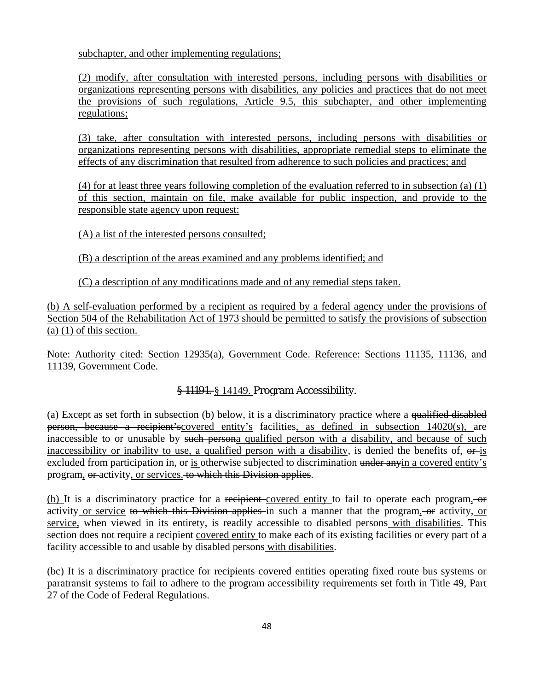subchapter, and other implementing regulations;

(2) modify, after consultation with interested persons, including persons with disabilities or organizations representing persons with disabilities, any policies and practices that do not meet the provisions of such regulations, Article 9.5, this subchapter, and other implementing regulations;

(3) take, after consultation with interested persons, including persons with disabilities or organizations representing persons with disabilities, appropriate remedial steps to eliminate the effects of any discrimination that resulted from adherence to such policies and practices; and

(4) for at least three years following completion of the evaluation referred to in subsection (a) (1) of this section, maintain on file, make available for public inspection, and provide to the responsible state agency upon request:

(A) a list of the interested persons consulted;

(B) a description of the areas examined and any problems identified; and

(C) a description of any modifications made and of any remedial steps taken.

(b) A self-evaluation performed by a recipient as required by a federal agency under the provisions of Section 504 of the Rehabilitation Act of 1973 should be permitted to satisfy the provisions of subsection  $(a)$  (1) of this section.

Note: Authority cited: Section 12935(a), Government Code. Reference: Sections 11135, 11136, and 11139, Government Code.

## § 11191. § 14149. Program Accessibility.

(a) Except as set forth in subsection (b) below, it is a discriminatory practice where a qualified disabled person, because a recipient'scovered entity's facilities, as defined in subsection 14020(s), are inaccessible to or unusable by such persona qualified person with a disability, and because of such inaccessibility or inability to use, a qualified person with a disability, is denied the benefits of,  $\theta$ -is excluded from participation in, or is otherwise subjected to discrimination under anyin a covered entity's program, or activity, or services. to which this Division applies.

(b) It is a discriminatory practice for a recipient-covered entity to fail to operate each program, -or activity or service to which this Division applies in such a manner that the program, or activity, or service, when viewed in its entirety, is readily accessible to disabled persons with disabilities. This section does not require a recipient covered entity to make each of its existing facilities or every part of a facility accessible to and usable by disabled persons with disabilities.

(bc) It is a discriminatory practice for recipients covered entities operating fixed route bus systems or paratransit systems to fail to adhere to the program accessibility requirements set forth in Title 49, Part 27 of the Code of Federal Regulations.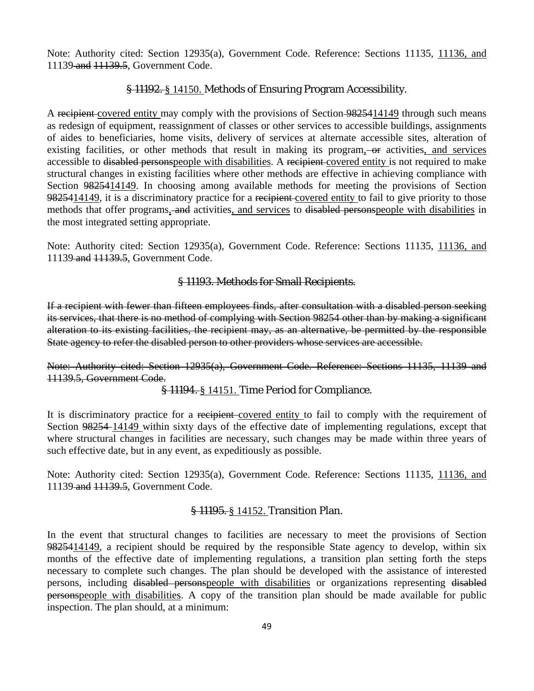Note: Authority cited: Section 12935(a), Government Code. Reference: Sections 11135, 11136, and 11139 and 11139.5, Government Code.

### § 11192. § 14150. Methods of Ensuring Program Accessibility.

A recipient covered entity may comply with the provisions of Section 9825414149 through such means as redesign of equipment, reassignment of classes or other services to accessible buildings, assignments of aides to beneficiaries, home visits, delivery of services at alternate accessible sites, alteration of existing facilities, or other methods that result in making its program, or activities, and services accessible to disabled personspeople with disabilities. A recipient covered entity is not required to make structural changes in existing facilities where other methods are effective in achieving compliance with Section 9825414149. In choosing among available methods for meeting the provisions of Section 9825414149, it is a discriminatory practice for a recipient covered entity to fail to give priority to those methods that offer programs, and activities, and services to disabled personspeople with disabilities in the most integrated setting appropriate.

Note: Authority cited: Section 12935(a), Government Code. Reference: Sections 11135, 11136, and 11139 and 11139.5, Government Code.

### § 11193. Methods for Small Recipients.

If a recipient with fewer than fifteen employees finds, after consultation with a disabled person seeking its services, that there is no method of complying with Section 98254 other than by making a significant alteration to its existing facilities, the recipient may, as an alternative, be permitted by the responsible State agency to refer the disabled person to other providers whose services are accessible.

Note: Authority cited: Section 12935(a), Government Code. Reference: Sections 11135, 11139 and 11139.5, Government Code.

### § 11194. § 14151. Time Period for Compliance.

It is discriminatory practice for a recipient covered entity to fail to comply with the requirement of Section 98254-14149 within sixty days of the effective date of implementing regulations, except that where structural changes in facilities are necessary, such changes may be made within three years of such effective date, but in any event, as expeditiously as possible.

Note: Authority cited: Section 12935(a), Government Code. Reference: Sections 11135, 11136, and 11139 and 11139.5, Government Code.

### § 11195. § 14152. Transition Plan.

In the event that structural changes to facilities are necessary to meet the provisions of Section 9825414149, a recipient should be required by the responsible State agency to develop, within six months of the effective date of implementing regulations, a transition plan setting forth the steps necessary to complete such changes. The plan should be developed with the assistance of interested persons, including disabled personspeople with disabilities or organizations representing disabled personspeople with disabilities. A copy of the transition plan should be made available for public inspection. The plan should, at a minimum: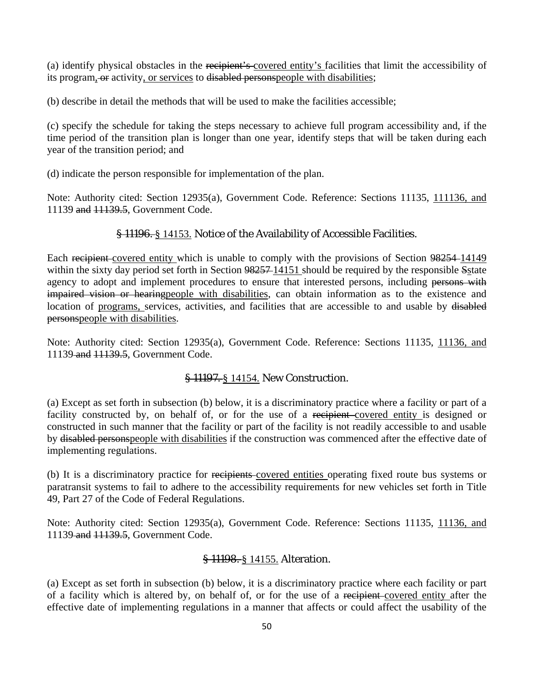(a) identify physical obstacles in the recipient's covered entity's facilities that limit the accessibility of its program, or activity, or services to disabled personspeople with disabilities;

(b) describe in detail the methods that will be used to make the facilities accessible;

(c) specify the schedule for taking the steps necessary to achieve full program accessibility and, if the time period of the transition plan is longer than one year, identify steps that will be taken during each year of the transition period; and

(d) indicate the person responsible for implementation of the plan.

Note: Authority cited: Section 12935(a), Government Code. Reference: Sections 11135, 111136, and 11139 and 11139.5, Government Code.

### § 11196. § 14153. Notice of the Availability of Accessible Facilities.

Each recipient covered entity which is unable to comply with the provisions of Section 98254-14149 within the sixty day period set forth in Section 98257-14151 should be required by the responsible Sstate agency to adopt and implement procedures to ensure that interested persons, including persons with impaired vision or hearingpeople with disabilities, can obtain information as to the existence and location of programs, services, activities, and facilities that are accessible to and usable by disabled personspeople with disabilities.

Note: Authority cited: Section 12935(a), Government Code. Reference: Sections 11135, 11136, and 11139 and 11139.5, Government Code.

### § 11197. § 14154. New Construction.

(a) Except as set forth in subsection (b) below, it is a discriminatory practice where a facility or part of a facility constructed by, on behalf of, or for the use of a recipient covered entity is designed or constructed in such manner that the facility or part of the facility is not readily accessible to and usable by disabled personspeople with disabilities if the construction was commenced after the effective date of implementing regulations.

(b) It is a discriminatory practice for recipients covered entities operating fixed route bus systems or paratransit systems to fail to adhere to the accessibility requirements for new vehicles set forth in Title 49, Part 27 of the Code of Federal Regulations.

Note: Authority cited: Section 12935(a), Government Code. Reference: Sections 11135, 11136, and 11139 and 11139.5, Government Code.

### § 11198. § 14155. Alteration.

(a) Except as set forth in subsection (b) below, it is a discriminatory practice where each facility or part of a facility which is altered by, on behalf of, or for the use of a recipient covered entity after the effective date of implementing regulations in a manner that affects or could affect the usability of the